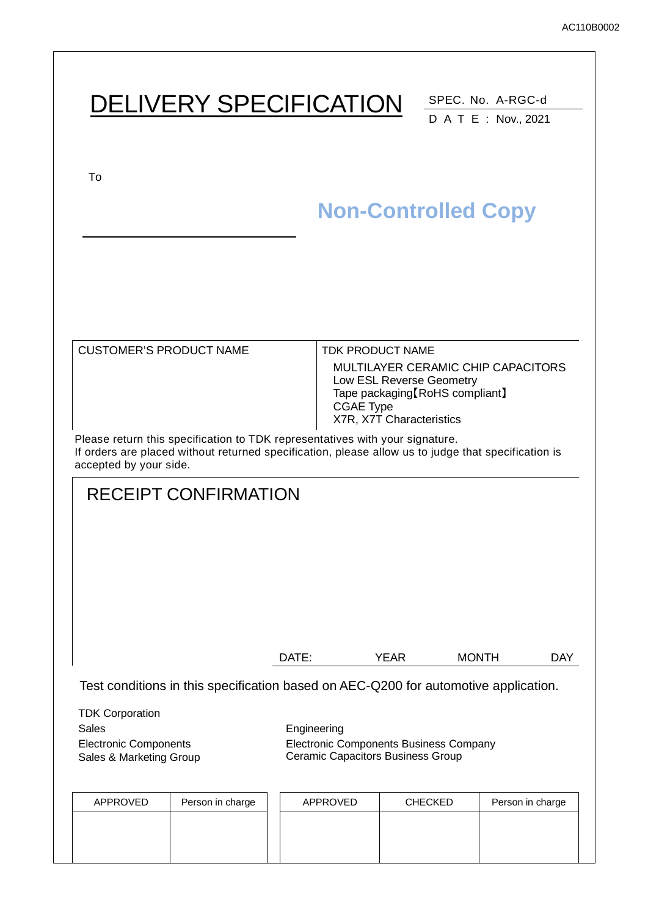# DELIVERY SPECIFICATION SPEC. No. A-RGC-d DATE : Nov., 2021 To **Non-Controlled Copy** CUSTOMER'S PRODUCT NAME TDK PRODUCT NAME MULTILAYER CERAMIC CHIP CAPACITORS Low ESL Reverse Geometry Tape packaging【RoHS compliant】 CGAE Type X7R, X7T Characteristics Please return this specification to TDK representatives with your signature. If orders are placed without returned specification, please allow us to judge that specification is accepted by your side. RECEIPT CONFIRMATION

Test conditions in this specification based on AEC-Q200 for automotive application.

| <b>TDK Corporation</b>       |                                               |
|------------------------------|-----------------------------------------------|
| Sales                        | Engineering                                   |
| <b>Electronic Components</b> | <b>Electronic Components Business Company</b> |
| Sales & Marketing Group      | Ceramic Capacitors Business Group             |
|                              |                                               |

| APPROVED | Person in charge | APPROVED | <b>CHECKED</b> | Person in charge |
|----------|------------------|----------|----------------|------------------|
|          |                  |          |                |                  |
|          |                  |          |                |                  |
|          |                  |          |                |                  |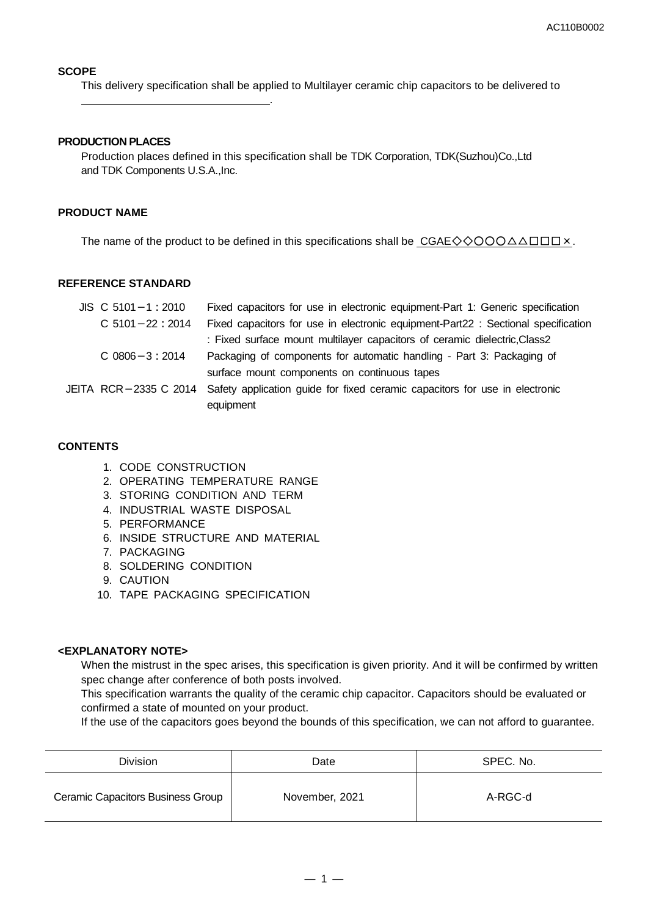#### **SCOPE**

This delivery specification shall be applied to Multilayer ceramic chip capacitors to be delivered to

#### **PRODUCTION PLACES**

.

Production places defined in this specification shall be TDK Corporation, TDK(Suzhou)Co.,Ltd and TDK Components U.S.A.,Inc.

#### **PRODUCT NAME**

The name of the product to be defined in this specifications shall be  $CGAE \diamond \diamond OOO \triangle \triangle \square \square \times$ .

#### **REFERENCE STANDARD**

| $JIS$ C 5101 - 1 : 2010 | Fixed capacitors for use in electronic equipment-Part 1: Generic specification                    |
|-------------------------|---------------------------------------------------------------------------------------------------|
| $C$ 5101 - 22 : 2014    | Fixed capacitors for use in electronic equipment-Part22 : Sectional specification                 |
|                         | : Fixed surface mount multilayer capacitors of ceramic dielectric, Class2                         |
| $C$ 0806 $-3$ : 2014    | Packaging of components for automatic handling - Part 3: Packaging of                             |
|                         | surface mount components on continuous tapes                                                      |
|                         | JEITA RCR-2335 C 2014 Safety application guide for fixed ceramic capacitors for use in electronic |
|                         | equipment                                                                                         |

#### **CONTENTS**

- 1. CODE CONSTRUCTION
- 2. OPERATING TEMPERATURE RANGE
- 3. STORING CONDITION AND TERM
- 4. INDUSTRIAL WASTE DISPOSAL
- 5. PERFORMANCE
- 6. INSIDE STRUCTURE AND MATERIAL
- 7. PACKAGING
- 8. SOLDERING CONDITION
- 9. CAUTION
- 10. TAPE PACKAGING SPECIFICATION

#### **<EXPLANATORY NOTE>**

When the mistrust in the spec arises, this specification is given priority. And it will be confirmed by written spec change after conference of both posts involved.

This specification warrants the quality of the ceramic chip capacitor. Capacitors should be evaluated or confirmed a state of mounted on your product.

If the use of the capacitors goes beyond the bounds of this specification, we can not afford to guarantee.

| <b>Division</b>                          | Date           | SPEC. No. |
|------------------------------------------|----------------|-----------|
| <b>Ceramic Capacitors Business Group</b> | November, 2021 | A-RGC-d   |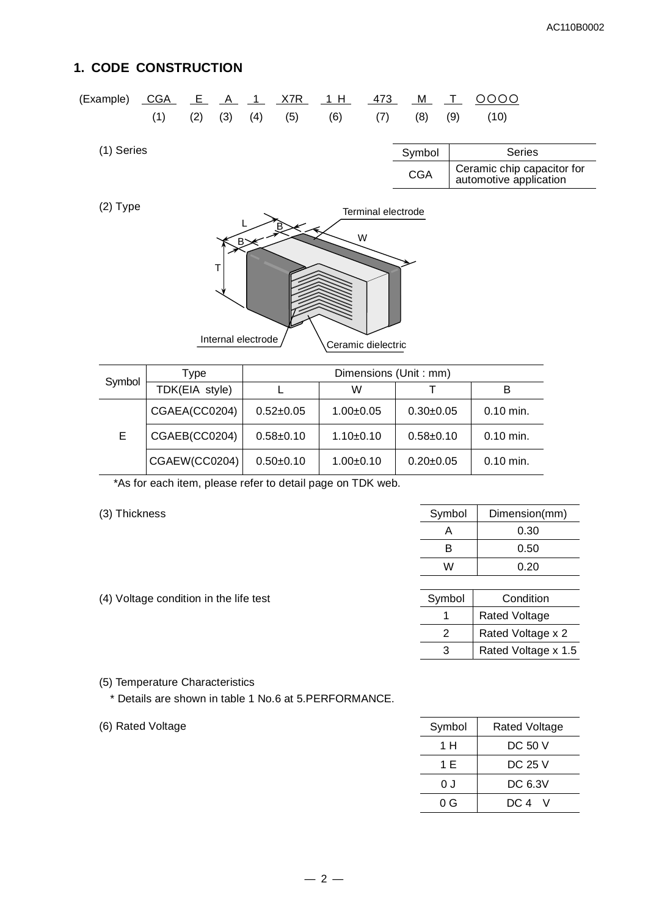## **1. CODE CONSTRUCTION**

(2) Type

| (Example)  | CGA | <u>EA 1</u> |     | <u>_X7R</u> | 1 H | 473 | <u>M</u>   |     | 0000                                                 |
|------------|-----|-------------|-----|-------------|-----|-----|------------|-----|------------------------------------------------------|
|            | (1) | (3)         | (4) | (5)         | (6) | (7) | (8)        | (9) | (10)                                                 |
|            |     |             |     |             |     |     |            |     |                                                      |
| (1) Series |     |             |     |             |     |     | Symbol     |     | Series                                               |
|            |     |             |     |             |     |     | <b>CGA</b> |     | Ceramic chip capacitor for<br>automotive application |
|            |     |             |     |             |     |     |            |     |                                                      |



|        | Type           | Dimensions (Unit: mm) |                 |                 |             |  |  |  |
|--------|----------------|-----------------------|-----------------|-----------------|-------------|--|--|--|
| Symbol | TDK(EIA style) |                       | W               |                 | В           |  |  |  |
|        | CGAEA(CC0204)  | $0.52 \pm 0.05$       | $1.00+0.05$     | $0.30 + 0.05$   | $0.10$ min. |  |  |  |
| Е      | CGAEB(CC0204)  | $0.58 \pm 0.10$       | $1.10 \pm 0.10$ | $0.58 + 0.10$   | $0.10$ min. |  |  |  |
|        | CGAEW(CC0204)  | $0.50+0.10$           | $1.00+0.10$     | $0.20 \pm 0.05$ | $0.10$ min. |  |  |  |

\*As for each item, please refer to detail page on TDK web.

(3) Thickness

(4) Voltage condition in the life test

| Symbol | Dimension(mm)        |
|--------|----------------------|
| А      | 0.30                 |
| R      | 0.50                 |
| W      | 0.20                 |
|        |                      |
| Symbol | Condition            |
|        | <b>Rated Voltage</b> |
| 2      | Rated Voltage x 2    |
| з      | Rated Voltage x 1.5  |

(5) Temperature Characteristics

\* Details are shown in table 1 No.6 at 5.PERFORMANCE.

(6) Rated Voltage

| Symbol | <b>Rated Voltage</b> |
|--------|----------------------|
| 1 H    | DC 50 V              |
| 1 F    | DC 25 V              |
| 0 J    | DC 6.3V              |
| 0 G    | DC 4 V               |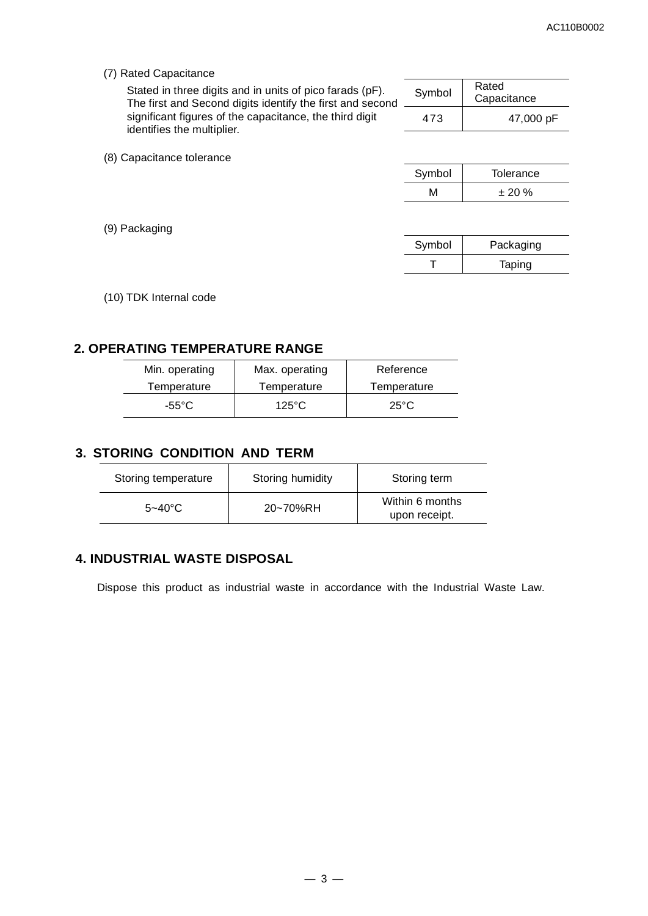(7) Rated Capacitance

Stated in three digits and in units of pico farads (pF). The first and Second digits identify the first and second significant figures of the capacitance, the third digit identifies the multiplier.

| Symbol | Rated<br>Capacitance |
|--------|----------------------|
| 473    | 47,000 pF            |

|  | (8) Capacitance tolerance |  |
|--|---------------------------|--|
|--|---------------------------|--|

| Symbol | Tolerance |
|--------|-----------|
| м      | ± 20%     |

| Symbol | Packaging |
|--------|-----------|
|        | Taping    |

(10) TDK Internal code

#### **2. OPERATING TEMPERATURE RANGE**

| Min. operating | Max. operating | Reference      |
|----------------|----------------|----------------|
| Temperature    | Temperature    | Temperature    |
| -55°C.         | 125°C          | $25^{\circ}$ C |

## **3. STORING CONDITION AND TERM**

| Storing temperature | Storing humidity | Storing term                     |
|---------------------|------------------|----------------------------------|
| $5 - 40^{\circ}$ C  | 20~70%RH         | Within 6 months<br>upon receipt. |

#### **4. INDUSTRIAL WASTE DISPOSAL**

Dispose this product as industrial waste in accordance with the Industrial Waste Law.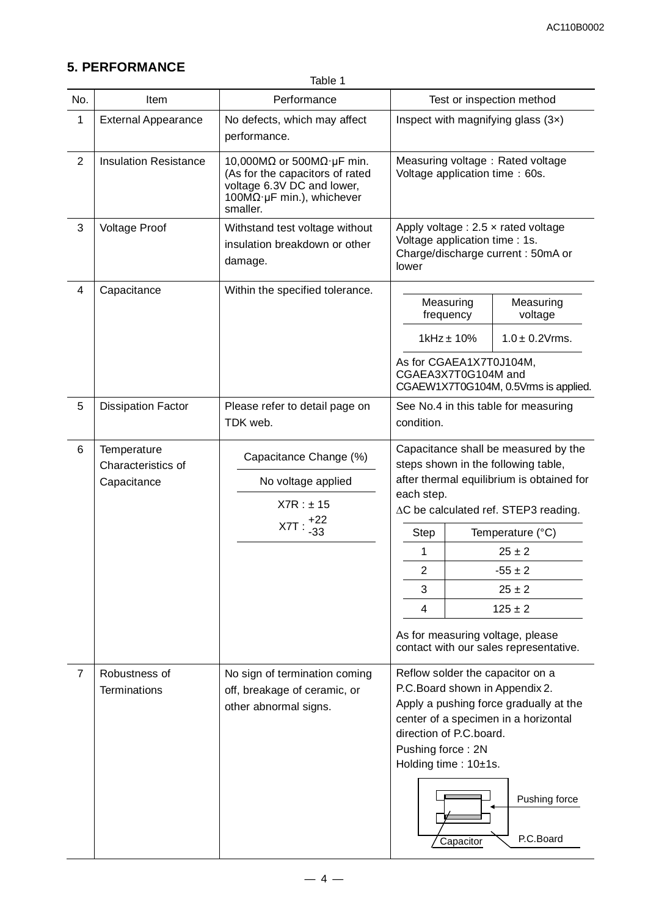## **5. PERFORMANCE**

Table 1

| No.            | Item                                             | Performance                                                                                                                                                     | Test or inspection method                                            |                        |                                                                                                                                                                                                                                                                                                                                       |
|----------------|--------------------------------------------------|-----------------------------------------------------------------------------------------------------------------------------------------------------------------|----------------------------------------------------------------------|------------------------|---------------------------------------------------------------------------------------------------------------------------------------------------------------------------------------------------------------------------------------------------------------------------------------------------------------------------------------|
| 1              | <b>External Appearance</b>                       | No defects, which may affect<br>performance.                                                                                                                    | Inspect with magnifying glass (3x)                                   |                        |                                                                                                                                                                                                                                                                                                                                       |
| $\overline{2}$ | <b>Insulation Resistance</b>                     | 10,000M $\Omega$ or 500M $\Omega$ · µF min.<br>(As for the capacitors of rated<br>voltage 6.3V DC and lower,<br>100 $M\Omega$ . µF min.), whichever<br>smaller. | Measuring voltage: Rated voltage<br>Voltage application time: 60s.   |                        |                                                                                                                                                                                                                                                                                                                                       |
| 3              | <b>Voltage Proof</b>                             | Withstand test voltage without<br>insulation breakdown or other<br>damage.                                                                                      | Voltage application time : 1s.<br>lower                              |                        | Apply voltage : $2.5 \times$ rated voltage<br>Charge/discharge current: 50mA or                                                                                                                                                                                                                                                       |
| $\overline{4}$ | Capacitance                                      | Within the specified tolerance.                                                                                                                                 |                                                                      | Measuring<br>frequency | Measuring<br>voltage                                                                                                                                                                                                                                                                                                                  |
|                |                                                  |                                                                                                                                                                 |                                                                      | $1$ kHz $\pm$ 10%      | $1.0 \pm 0.2$ Vrms.                                                                                                                                                                                                                                                                                                                   |
|                |                                                  |                                                                                                                                                                 | As for CGAEA1X7T0J104M,<br>CGAEA3X7T0G104M and                       |                        | CGAEW1X7T0G104M, 0.5Vrms is applied.                                                                                                                                                                                                                                                                                                  |
| 5              | <b>Dissipation Factor</b>                        | Please refer to detail page on<br>TDK web.                                                                                                                      | See No.4 in this table for measuring<br>condition.                   |                        |                                                                                                                                                                                                                                                                                                                                       |
| 6              | Temperature<br>Characteristics of<br>Capacitance | Capacitance Change (%)<br>No voltage applied<br>X7R : ±15<br>$XT: ^{+22}$<br>$-33$                                                                              | each step.<br><b>Step</b><br>1<br>2<br>3<br>4                        |                        | Capacitance shall be measured by the<br>steps shown in the following table,<br>after thermal equilibrium is obtained for<br>∆C be calculated ref. STEP3 reading.<br>Temperature $(^{\circ}C)$<br>$25 \pm 2$<br>$-55 \pm 2$<br>$25 \pm 2$<br>$125 \pm 2$<br>As for measuring voltage, please<br>contact with our sales representative. |
| $\overline{7}$ | Robustness of<br><b>Terminations</b>             | No sign of termination coming<br>off, breakage of ceramic, or<br>other abnormal signs.                                                                          | direction of P.C.board.<br>Pushing force: 2N<br>Holding time: 10±1s. | Capacitor              | Reflow solder the capacitor on a<br>P.C.Board shown in Appendix 2.<br>Apply a pushing force gradually at the<br>center of a specimen in a horizontal<br>Pushing force<br>P.C.Board                                                                                                                                                    |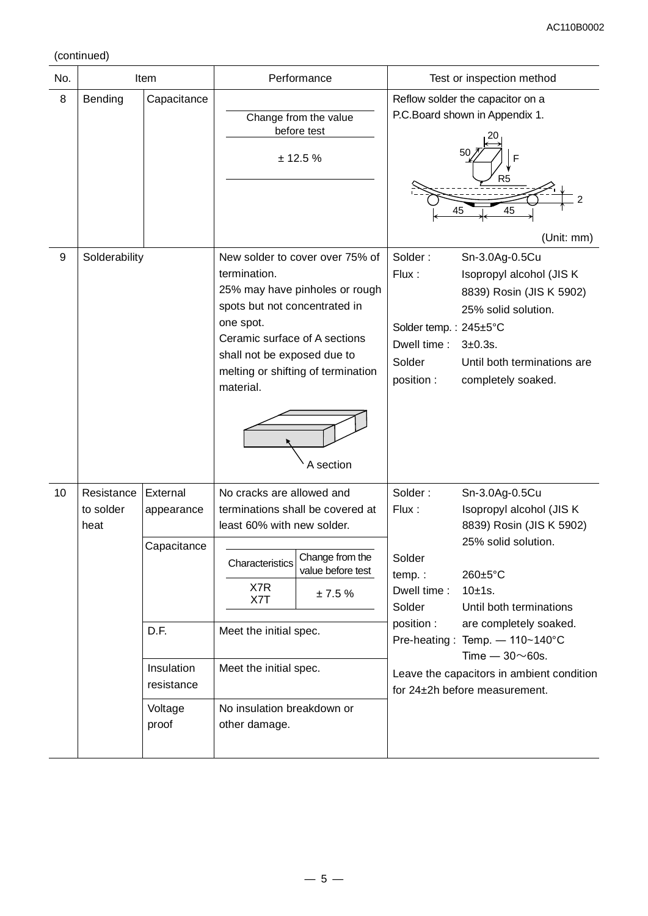## (continued)

| No. | Item                            |                                                                                               |                                                                                                                                                                                                                                                                 | Performance                                                                       | Test or inspection method                                                        |                                                                                                                                                                                                                                                                                                                              |
|-----|---------------------------------|-----------------------------------------------------------------------------------------------|-----------------------------------------------------------------------------------------------------------------------------------------------------------------------------------------------------------------------------------------------------------------|-----------------------------------------------------------------------------------|----------------------------------------------------------------------------------|------------------------------------------------------------------------------------------------------------------------------------------------------------------------------------------------------------------------------------------------------------------------------------------------------------------------------|
| 8   | Bending                         | Capacitance                                                                                   | Change from the value<br>before test<br>± 12.5%                                                                                                                                                                                                                 |                                                                                   |                                                                                  | Reflow solder the capacitor on a<br>P.C.Board shown in Appendix 1.<br>50<br>F<br>R <sub>5</sub><br>45<br>45<br>(Unit: mm)                                                                                                                                                                                                    |
| 9   | Solderability                   |                                                                                               | New solder to cover over 75% of<br>termination.<br>25% may have pinholes or rough<br>spots but not concentrated in<br>one spot.<br>Ceramic surface of A sections<br>shall not be exposed due to<br>melting or shifting of termination<br>material.<br>A section |                                                                                   | Solder:<br>Flux:<br>Solder temp.: 245±5°C<br>Dwell time:<br>Solder<br>position : | Sn-3.0Ag-0.5Cu<br>Isopropyl alcohol (JIS K<br>8839) Rosin (JIS K 5902)<br>25% solid solution.<br>$3 + 0.3s$ .<br>Until both terminations are<br>completely soaked.                                                                                                                                                           |
| 10  | Resistance<br>to solder<br>heat | External<br>appearance<br>Capacitance<br>D.F.<br>Insulation<br>resistance<br>Voltage<br>proof | No cracks are allowed and<br>least 60% with new solder.<br>Characteristics<br>X7R<br>X7T<br>Meet the initial spec.<br>Meet the initial spec.<br>No insulation breakdown or<br>other damage.                                                                     | terminations shall be covered at<br>Change from the<br>value before test<br>±7.5% | Solder:<br>Flux:<br>Solder<br>$temp.$ :<br>Dwell time:<br>Solder<br>position :   | Sn-3.0Ag-0.5Cu<br>Isopropyl alcohol (JIS K)<br>8839) Rosin (JIS K 5902)<br>25% solid solution.<br>$260 \pm 5^{\circ}$ C<br>10±1s.<br>Until both terminations<br>are completely soaked.<br>Pre-heating: Temp. - 110~140°C<br>Time $-30\nu$ 60s.<br>Leave the capacitors in ambient condition<br>for 24±2h before measurement. |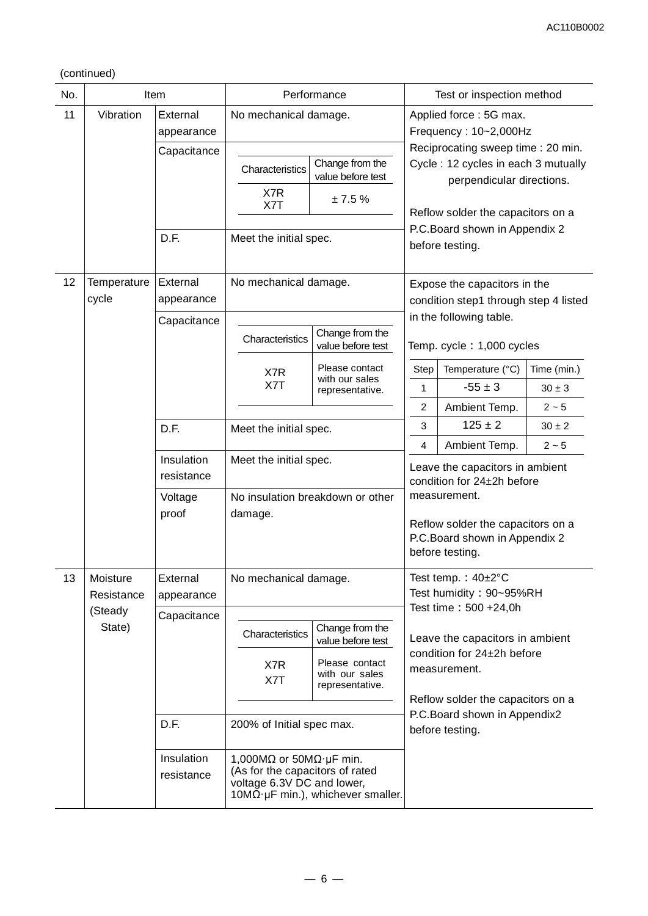#### (continued)

| No. | Item                   |                          | Performance                                                                                                |                                                     | Test or inspection method                                                                             |                                                                                      |             |  |
|-----|------------------------|--------------------------|------------------------------------------------------------------------------------------------------------|-----------------------------------------------------|-------------------------------------------------------------------------------------------------------|--------------------------------------------------------------------------------------|-------------|--|
| 11  | Vibration              | External<br>appearance   | No mechanical damage.                                                                                      |                                                     |                                                                                                       | Applied force: 5G max.<br>Frequency: 10~2,000Hz<br>Reciprocating sweep time: 20 min. |             |  |
|     |                        | Capacitance              | Characteristics                                                                                            | Change from the<br>value before test                |                                                                                                       | Cycle: 12 cycles in each 3 mutually<br>perpendicular directions.                     |             |  |
|     |                        |                          | X7R<br>X7T                                                                                                 | ± 7.5%                                              |                                                                                                       | Reflow solder the capacitors on a                                                    |             |  |
|     |                        | D.F.                     | Meet the initial spec.                                                                                     |                                                     |                                                                                                       | P.C.Board shown in Appendix 2<br>before testing.                                     |             |  |
| 12  | Temperature<br>cycle   | External<br>appearance   | No mechanical damage.                                                                                      |                                                     | Expose the capacitors in the<br>condition step1 through step 4 listed                                 |                                                                                      |             |  |
|     |                        | Capacitance              | Characteristics                                                                                            | Change from the<br>value before test                |                                                                                                       | in the following table.<br>Temp. cycle: 1,000 cycles                                 |             |  |
|     |                        |                          | X7R                                                                                                        | Please contact<br>with our sales                    | Step                                                                                                  | Temperature (°C)                                                                     | Time (min.) |  |
|     |                        |                          | X7T                                                                                                        | representative.                                     | 1                                                                                                     | $-55 \pm 3$                                                                          | $30 \pm 3$  |  |
|     |                        |                          |                                                                                                            |                                                     | $\overline{c}$                                                                                        | Ambient Temp.                                                                        | $2 - 5$     |  |
|     |                        | D.F.                     | Meet the initial spec.                                                                                     |                                                     | 3                                                                                                     | $125 \pm 2$                                                                          | $30 \pm 2$  |  |
|     |                        |                          |                                                                                                            | 4                                                   | Ambient Temp.                                                                                         | $2 - 5$                                                                              |             |  |
|     |                        | Insulation<br>resistance | Meet the initial spec.                                                                                     |                                                     | Leave the capacitors in ambient<br>condition for 24±2h before                                         |                                                                                      |             |  |
|     |                        | Voltage<br>proof         | damage.                                                                                                    | No insulation breakdown or other                    | measurement.<br>Reflow solder the capacitors on a<br>P.C.Board shown in Appendix 2<br>before testing. |                                                                                      |             |  |
| 13  | Moisture<br>Resistance | External<br>appearance   | No mechanical damage.                                                                                      |                                                     |                                                                                                       | Test temp.: 40±2°C<br>Test humidity: 90~95%RH                                        |             |  |
|     | (Steady<br>State)      | Capacitance              | Characteristics                                                                                            | Change from the<br>value before test                |                                                                                                       | Test time: 500 +24,0h<br>Leave the capacitors in ambient                             |             |  |
|     |                        |                          | X7R<br>X7T                                                                                                 | Please contact<br>with our sales<br>representative. | condition for 24±2h before<br>measurement.                                                            |                                                                                      |             |  |
|     |                        |                          |                                                                                                            | Reflow solder the capacitors on a                   |                                                                                                       |                                                                                      |             |  |
|     |                        | D.F.                     | 200% of Initial spec max.                                                                                  |                                                     |                                                                                                       | P.C. Board shown in Appendix2<br>before testing.                                     |             |  |
|     |                        | Insulation<br>resistance | 1,000M $\Omega$ or 50M $\Omega$ · µF min.<br>(As for the capacitors of rated<br>voltage 6.3V DC and lower, | $10M\Omega$ µF min.), whichever smaller.            |                                                                                                       |                                                                                      |             |  |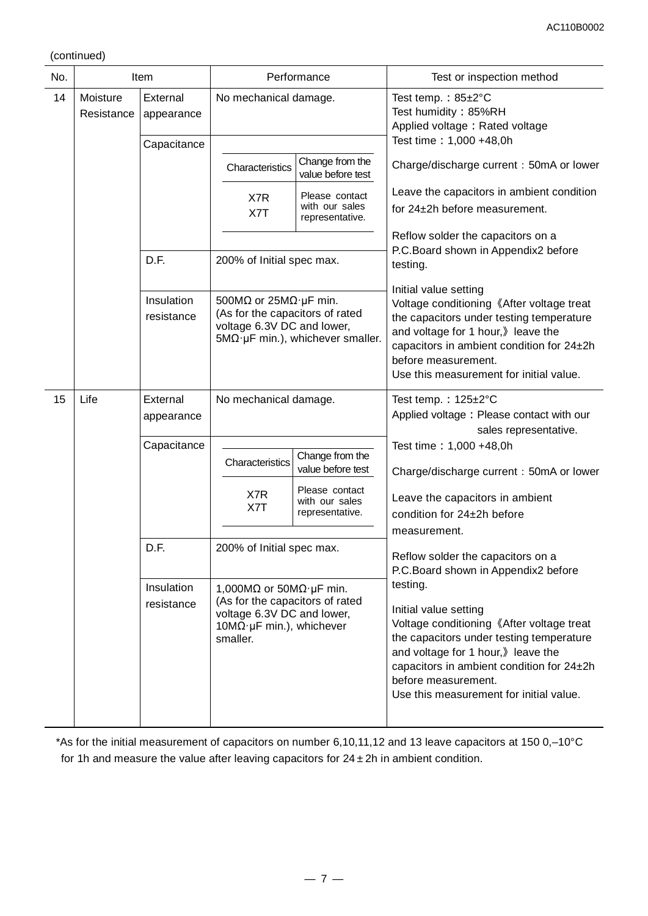(continued)

| No. |                                                                                                                                                                                       | Item                                  |                                                                                                          | Performance                                                                                                                                                                                                                                                                    | Test or inspection method                                                                                                                                                                                                                                                      |
|-----|---------------------------------------------------------------------------------------------------------------------------------------------------------------------------------------|---------------------------------------|----------------------------------------------------------------------------------------------------------|--------------------------------------------------------------------------------------------------------------------------------------------------------------------------------------------------------------------------------------------------------------------------------|--------------------------------------------------------------------------------------------------------------------------------------------------------------------------------------------------------------------------------------------------------------------------------|
| 14  | Moisture<br>Resistance                                                                                                                                                                | External<br>appearance<br>Capacitance | No mechanical damage.                                                                                    |                                                                                                                                                                                                                                                                                | Test temp.: $85 \pm 2^{\circ}$ C<br>Test humidity: 85%RH<br>Applied voltage: Rated voltage<br>Test time: 1,000 +48,0h                                                                                                                                                          |
|     |                                                                                                                                                                                       |                                       | Characteristics<br>X7R                                                                                   | Change from the<br>value before test<br>Please contact<br>with our sales                                                                                                                                                                                                       | Charge/discharge current: 50mA or lower<br>Leave the capacitors in ambient condition<br>for 24±2h before measurement.                                                                                                                                                          |
|     |                                                                                                                                                                                       | D.F.                                  | X7T<br>200% of Initial spec max.                                                                         | representative.                                                                                                                                                                                                                                                                | Reflow solder the capacitors on a<br>P.C. Board shown in Appendix2 before                                                                                                                                                                                                      |
|     |                                                                                                                                                                                       | Insulation<br>resistance              | 500M $\Omega$ or 25M $\Omega$ · µF min.<br>(As for the capacitors of rated<br>voltage 6.3V DC and lower, | $5M\Omega \cdot \mu F$ min.), whichever smaller.                                                                                                                                                                                                                               | testing.<br>Initial value setting<br>Voltage conditioning 《After voltage treat<br>the capacitors under testing temperature<br>and voltage for 1 hour, leave the<br>capacitors in ambient condition for 24±2h<br>before measurement.<br>Use this measurement for initial value. |
| 15  | Life                                                                                                                                                                                  | External<br>appearance<br>Capacitance | No mechanical damage.                                                                                    |                                                                                                                                                                                                                                                                                | Test temp.: $125 \pm 2^{\circ}$ C<br>Applied voltage: Please contact with our<br>sales representative.<br>Test time: 1,000 +48,0h                                                                                                                                              |
|     |                                                                                                                                                                                       |                                       | Change from the<br>Characteristics<br>value before test                                                  |                                                                                                                                                                                                                                                                                | Charge/discharge current: 50mA or lower                                                                                                                                                                                                                                        |
|     |                                                                                                                                                                                       |                                       | X7R<br>X7T                                                                                               | Please contact<br>with our sales<br>representative.                                                                                                                                                                                                                            | Leave the capacitors in ambient<br>condition for 24±2h before<br>measurement.                                                                                                                                                                                                  |
|     |                                                                                                                                                                                       | D.F.                                  | 200% of Initial spec max.                                                                                |                                                                                                                                                                                                                                                                                | Reflow solder the capacitors on a<br>P.C. Board shown in Appendix2 before                                                                                                                                                                                                      |
|     | Insulation<br>1,000M $\Omega$ or 50M $\Omega$ · µF min.<br>(As for the capacitors of rated<br>resistance<br>voltage 6.3V DC and lower,<br>$10M\Omega$ µF min.), whichever<br>smaller. |                                       |                                                                                                          | testing.<br>Initial value setting<br>Voltage conditioning 《After voltage treat<br>the capacitors under testing temperature<br>and voltage for 1 hour, leave the<br>capacitors in ambient condition for 24±2h<br>before measurement.<br>Use this measurement for initial value. |                                                                                                                                                                                                                                                                                |

\*As for the initial measurement of capacitors on number 6,10,11,12 and 13 leave capacitors at 150 0,–10°C for 1h and measure the value after leaving capacitors for  $24 \pm 2h$  in ambient condition.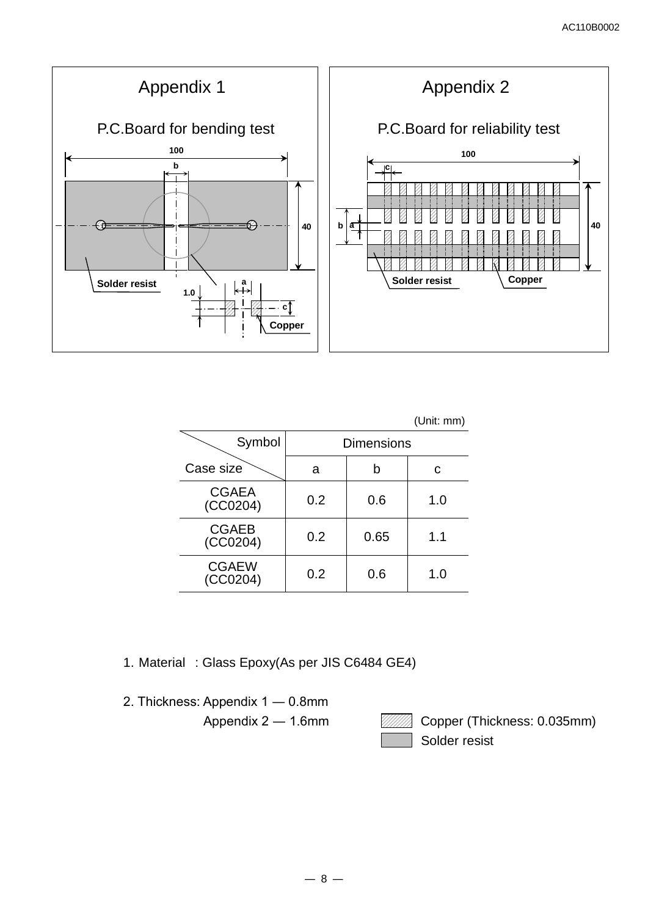

|                          |     |                   | (Unit: mm) |
|--------------------------|-----|-------------------|------------|
| Symbol                   |     | <b>Dimensions</b> |            |
| Case size                | a   | b                 | C          |
| <b>CGAEA</b><br>(CCO204) | 0.2 | 0.6               | 1.0        |
| <b>CGAEB</b><br>(CCO204) | 0.2 | 0.65              | 1.1        |
| <b>CGAEW</b><br>(CC0204) | 0.2 | 0.6               | 1.0        |

1. Material : Glass Epoxy(As per JIS C6484 GE4)

2. Thickness: Appendix 1 ― 0.8mm



Appendix 2 — 1.6mm **Copper (Thickness: 0.035mm)** Solder resist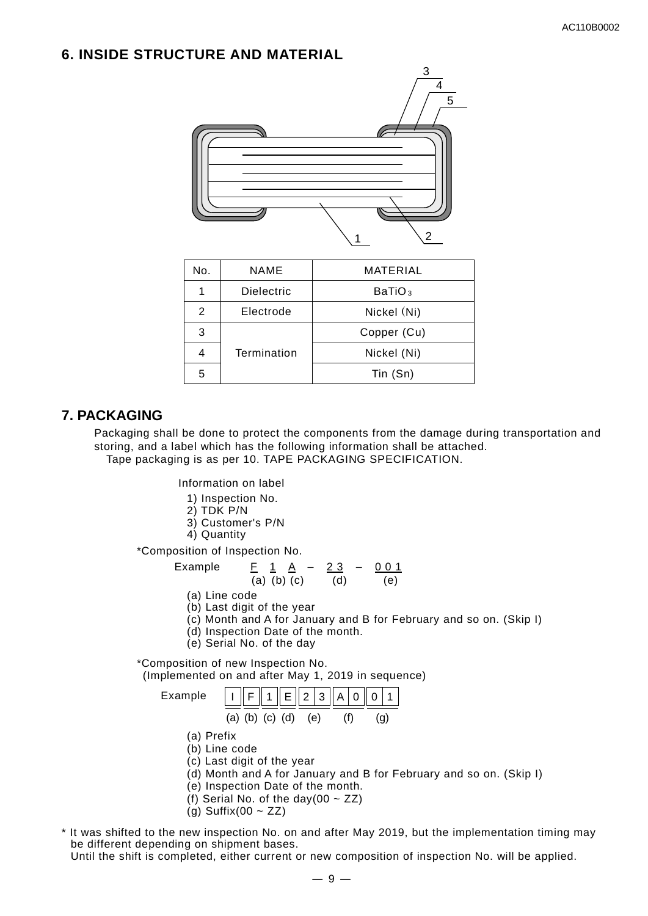## **6. INSIDE STRUCTURE AND MATERIAL**



| No. | <b>NAME</b>       | MATERIAL           |
|-----|-------------------|--------------------|
|     | <b>Dielectric</b> | BaTiO <sub>3</sub> |
| 2   | Electrode         | Nickel (Ni)        |
| 3   |                   | Copper (Cu)        |
|     | Termination       | Nickel (Ni)        |
| 5   |                   | Tin (Sn)           |

## **7. PACKAGING**

Packaging shall be done to protect the components from the damage during transportation and storing, and a label which has the following information shall be attached. Tape packaging is as per 10. TAPE PACKAGING SPECIFICATION.

Information on label

- 1) Inspection No.
- $2)$  TDK P/N
- 3) Customer's P/N
- 4) Quantity

\*Composition of Inspection No.

Example

|  |                   | 23  | 0 0 1 |
|--|-------------------|-----|-------|
|  | $(a)$ $(b)$ $(c)$ | (d) | (e)   |

(a) Line code

(b) Last digit of the year

- (c) Month and A for January and B for February and so on. (Skip I)
- (d) Inspection Date of the month.
- (e) Serial No. of the day

\*Composition of new Inspection No.

(Implemented on and after May 1, 2019 in sequence)



- (a) Prefix
- (b) Line code
- (c) Last digit of the year
- (d) Month and A for January and B for February and so on. (Skip I)
- (e) Inspection Date of the month.
- (f) Serial No. of the day(00  $\sim$  ZZ)
- $(g)$  Suffix(00 ~ ZZ)
- \* It was shifted to the new inspection No. on and after May 2019, but the implementation timing may be different depending on shipment bases.

Until the shift is completed, either current or new composition of inspection No. will be applied.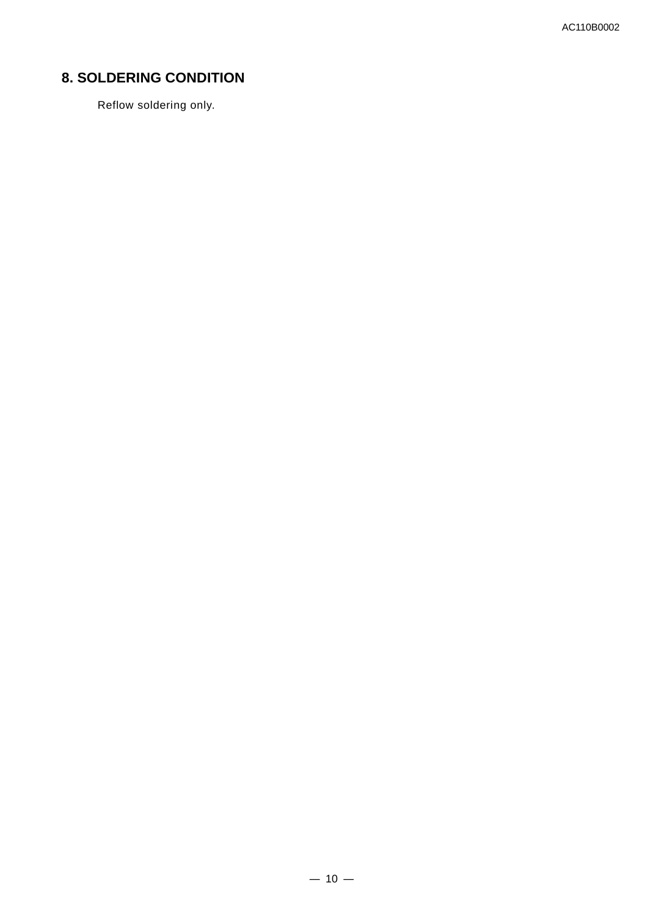# **8. SOLDERING CONDITION**

Reflow soldering only.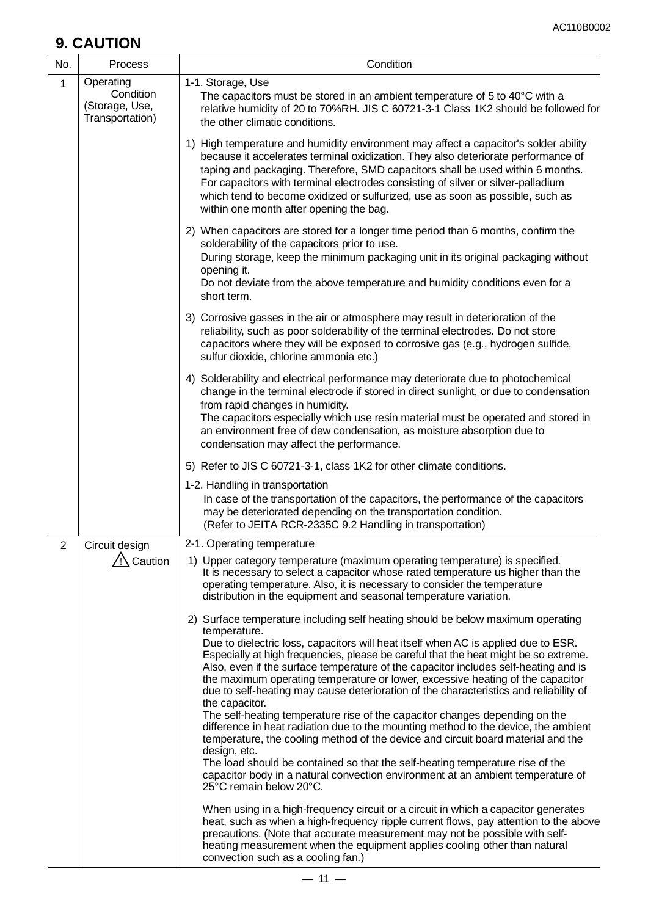# **9. CAUTION**

| No.            | Process                                                     | Condition                                                                                                                                                                                                                                                                                                                                                                                                                                                                                                                                                                                                                                                                                                                                                                                                                                                                                                                                                                                                                                                                                                                       |
|----------------|-------------------------------------------------------------|---------------------------------------------------------------------------------------------------------------------------------------------------------------------------------------------------------------------------------------------------------------------------------------------------------------------------------------------------------------------------------------------------------------------------------------------------------------------------------------------------------------------------------------------------------------------------------------------------------------------------------------------------------------------------------------------------------------------------------------------------------------------------------------------------------------------------------------------------------------------------------------------------------------------------------------------------------------------------------------------------------------------------------------------------------------------------------------------------------------------------------|
| $\mathbf{1}$   | Operating<br>Condition<br>(Storage, Use,<br>Transportation) | 1-1. Storage, Use<br>The capacitors must be stored in an ambient temperature of 5 to 40°C with a<br>relative humidity of 20 to 70%RH. JIS C 60721-3-1 Class 1K2 should be followed for<br>the other climatic conditions.                                                                                                                                                                                                                                                                                                                                                                                                                                                                                                                                                                                                                                                                                                                                                                                                                                                                                                        |
|                |                                                             | 1) High temperature and humidity environment may affect a capacitor's solder ability<br>because it accelerates terminal oxidization. They also deteriorate performance of<br>taping and packaging. Therefore, SMD capacitors shall be used within 6 months.<br>For capacitors with terminal electrodes consisting of silver or silver-palladium<br>which tend to become oxidized or sulfurized, use as soon as possible, such as<br>within one month after opening the bag.                                                                                                                                                                                                                                                                                                                                                                                                                                                                                                                                                                                                                                                     |
|                |                                                             | 2) When capacitors are stored for a longer time period than 6 months, confirm the<br>solderability of the capacitors prior to use.<br>During storage, keep the minimum packaging unit in its original packaging without<br>opening it.<br>Do not deviate from the above temperature and humidity conditions even for a<br>short term.                                                                                                                                                                                                                                                                                                                                                                                                                                                                                                                                                                                                                                                                                                                                                                                           |
|                |                                                             | 3) Corrosive gasses in the air or atmosphere may result in deterioration of the<br>reliability, such as poor solderability of the terminal electrodes. Do not store<br>capacitors where they will be exposed to corrosive gas (e.g., hydrogen sulfide,<br>sulfur dioxide, chlorine ammonia etc.)                                                                                                                                                                                                                                                                                                                                                                                                                                                                                                                                                                                                                                                                                                                                                                                                                                |
|                |                                                             | 4) Solderability and electrical performance may deteriorate due to photochemical<br>change in the terminal electrode if stored in direct sunlight, or due to condensation<br>from rapid changes in humidity.<br>The capacitors especially which use resin material must be operated and stored in<br>an environment free of dew condensation, as moisture absorption due to<br>condensation may affect the performance.                                                                                                                                                                                                                                                                                                                                                                                                                                                                                                                                                                                                                                                                                                         |
|                |                                                             | 5) Refer to JIS C 60721-3-1, class 1K2 for other climate conditions.                                                                                                                                                                                                                                                                                                                                                                                                                                                                                                                                                                                                                                                                                                                                                                                                                                                                                                                                                                                                                                                            |
|                |                                                             | 1-2. Handling in transportation<br>In case of the transportation of the capacitors, the performance of the capacitors<br>may be deteriorated depending on the transportation condition.<br>(Refer to JEITA RCR-2335C 9.2 Handling in transportation)                                                                                                                                                                                                                                                                                                                                                                                                                                                                                                                                                                                                                                                                                                                                                                                                                                                                            |
| $\overline{2}$ | Circuit design                                              | 2-1. Operating temperature                                                                                                                                                                                                                                                                                                                                                                                                                                                                                                                                                                                                                                                                                                                                                                                                                                                                                                                                                                                                                                                                                                      |
|                | $\sqrt{ }$ Caution                                          | 1) Upper category temperature (maximum operating temperature) is specified.<br>It is necessary to select a capacitor whose rated temperature us higher than the<br>operating temperature. Also, it is necessary to consider the temperature<br>distribution in the equipment and seasonal temperature variation.                                                                                                                                                                                                                                                                                                                                                                                                                                                                                                                                                                                                                                                                                                                                                                                                                |
|                |                                                             | 2) Surface temperature including self heating should be below maximum operating<br>temperature.<br>Due to dielectric loss, capacitors will heat itself when AC is applied due to ESR.<br>Especially at high frequencies, please be careful that the heat might be so extreme.<br>Also, even if the surface temperature of the capacitor includes self-heating and is<br>the maximum operating temperature or lower, excessive heating of the capacitor<br>due to self-heating may cause deterioration of the characteristics and reliability of<br>the capacitor.<br>The self-heating temperature rise of the capacitor changes depending on the<br>difference in heat radiation due to the mounting method to the device, the ambient<br>temperature, the cooling method of the device and circuit board material and the<br>design, etc.<br>The load should be contained so that the self-heating temperature rise of the<br>capacitor body in a natural convection environment at an ambient temperature of<br>25°C remain below 20°C.<br>When using in a high-frequency circuit or a circuit in which a capacitor generates |
|                |                                                             | heat, such as when a high-frequency ripple current flows, pay attention to the above<br>precautions. (Note that accurate measurement may not be possible with self-<br>heating measurement when the equipment applies cooling other than natural<br>convection such as a cooling fan.)                                                                                                                                                                                                                                                                                                                                                                                                                                                                                                                                                                                                                                                                                                                                                                                                                                          |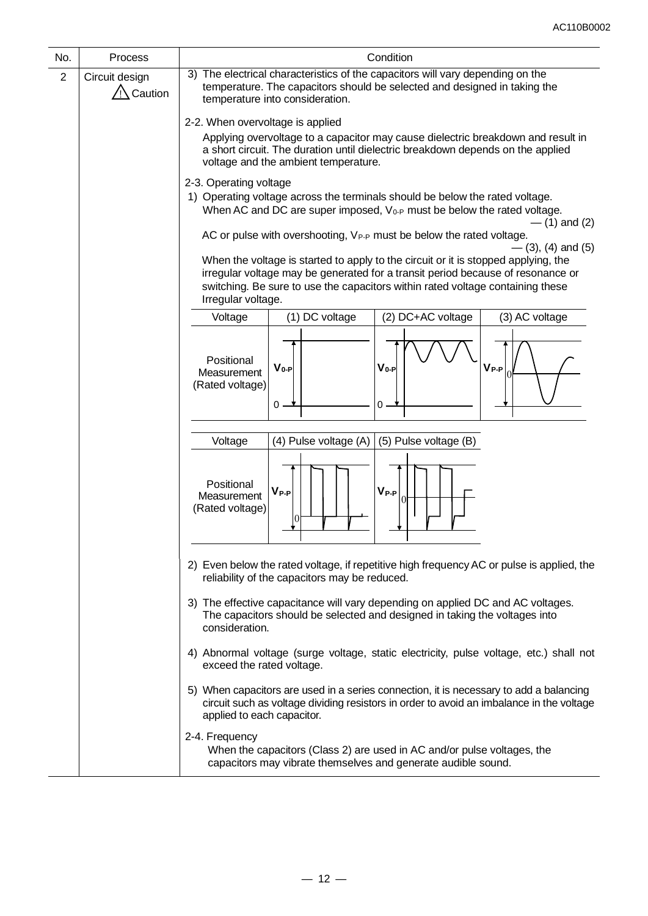| No.            | <b>Process</b>            | Condition                                                                                                                                                                                                                                                                     |
|----------------|---------------------------|-------------------------------------------------------------------------------------------------------------------------------------------------------------------------------------------------------------------------------------------------------------------------------|
| $\overline{2}$ | Circuit design<br>Caution | 3) The electrical characteristics of the capacitors will vary depending on the<br>temperature. The capacitors should be selected and designed in taking the<br>temperature into consideration.                                                                                |
|                |                           | 2-2. When overvoltage is applied                                                                                                                                                                                                                                              |
|                |                           | Applying overvoltage to a capacitor may cause dielectric breakdown and result in<br>a short circuit. The duration until dielectric breakdown depends on the applied<br>voltage and the ambient temperature.                                                                   |
|                |                           | 2-3. Operating voltage<br>1) Operating voltage across the terminals should be below the rated voltage.<br>When AC and DC are super imposed, $V_{0-P}$ must be below the rated voltage.<br>$-$ (1) and (2)                                                                     |
|                |                           | AC or pulse with overshooting, VP-P must be below the rated voltage.<br>$-$ (3), (4) and (5)                                                                                                                                                                                  |
|                |                           | When the voltage is started to apply to the circuit or it is stopped applying, the<br>irregular voltage may be generated for a transit period because of resonance or<br>switching. Be sure to use the capacitors within rated voltage containing these<br>Irregular voltage. |
|                |                           | (2) DC+AC voltage<br>(1) DC voltage<br>(3) AC voltage<br>Voltage                                                                                                                                                                                                              |
|                |                           | Positional<br>$V_{0-P}$<br>$V_{P-P}$<br>$V_{0-P}$<br>Measurement<br>(Rated voltage)<br>$0 \cdot$<br>0                                                                                                                                                                         |
|                |                           | (4) Pulse voltage (A)<br>(5) Pulse voltage (B)<br>Voltage                                                                                                                                                                                                                     |
|                |                           | Positional<br>$V_{P-P}$<br>$V_{P-P}$<br>Measurement<br>(Rated voltage)<br>10                                                                                                                                                                                                  |
|                |                           | 2) Even below the rated voltage, if repetitive high frequency AC or pulse is applied, the<br>reliability of the capacitors may be reduced.                                                                                                                                    |
|                |                           | 3) The effective capacitance will vary depending on applied DC and AC voltages.<br>The capacitors should be selected and designed in taking the voltages into<br>consideration.                                                                                               |
|                |                           | 4) Abnormal voltage (surge voltage, static electricity, pulse voltage, etc.) shall not<br>exceed the rated voltage.                                                                                                                                                           |
|                |                           | 5) When capacitors are used in a series connection, it is necessary to add a balancing<br>circuit such as voltage dividing resistors in order to avoid an imbalance in the voltage<br>applied to each capacitor.                                                              |
|                |                           | 2-4. Frequency<br>When the capacitors (Class 2) are used in AC and/or pulse voltages, the<br>capacitors may vibrate themselves and generate audible sound.                                                                                                                    |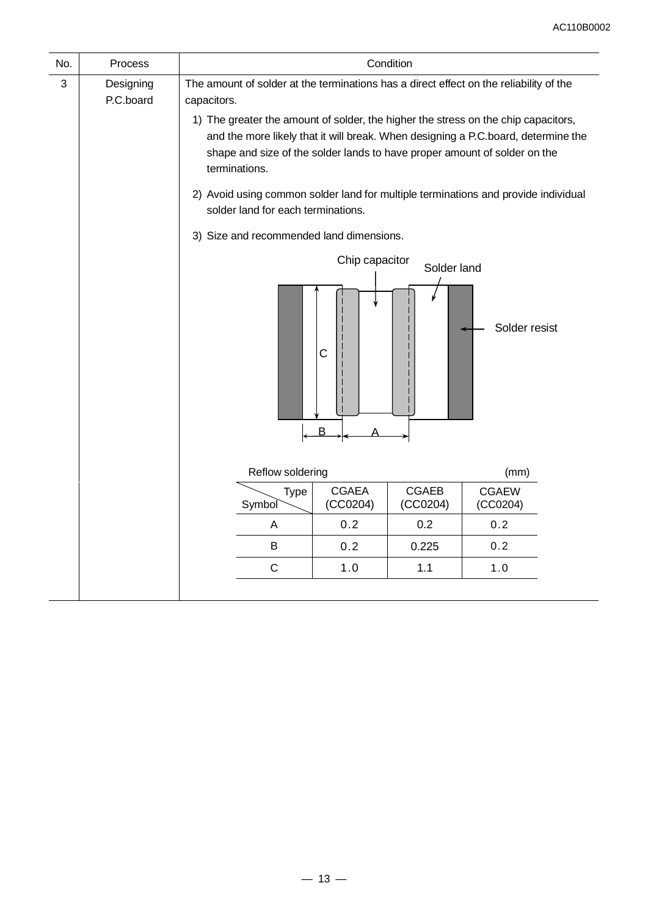| No. | Process                | Condition                                                                                                                                                                                                                                                             |  |  |  |  |  |  |
|-----|------------------------|-----------------------------------------------------------------------------------------------------------------------------------------------------------------------------------------------------------------------------------------------------------------------|--|--|--|--|--|--|
| 3   | Designing<br>P.C.board | The amount of solder at the terminations has a direct effect on the reliability of the<br>capacitors.                                                                                                                                                                 |  |  |  |  |  |  |
|     |                        | 1) The greater the amount of solder, the higher the stress on the chip capacitors,<br>and the more likely that it will break. When designing a P.C.board, determine the<br>shape and size of the solder lands to have proper amount of solder on the<br>terminations. |  |  |  |  |  |  |
|     |                        | 2) Avoid using common solder land for multiple terminations and provide individual<br>solder land for each terminations.                                                                                                                                              |  |  |  |  |  |  |
|     |                        | 3) Size and recommended land dimensions.                                                                                                                                                                                                                              |  |  |  |  |  |  |
|     |                        | Chip capacitor<br>Solder land                                                                                                                                                                                                                                         |  |  |  |  |  |  |
|     |                        | Solder resist<br>C<br>$\overline{B}$                                                                                                                                                                                                                                  |  |  |  |  |  |  |
|     |                        | Reflow soldering<br>(mm)                                                                                                                                                                                                                                              |  |  |  |  |  |  |
|     |                        | <b>CGAEA</b><br><b>CGAEB</b><br><b>CGAEW</b><br><b>Type</b><br>Symbol<br>(CCO204)<br>(CCO204)<br>(CCO204)                                                                                                                                                             |  |  |  |  |  |  |
|     |                        | 0.2<br>0.2<br>0.2<br>A                                                                                                                                                                                                                                                |  |  |  |  |  |  |
|     |                        | 0.2<br>0.225<br>0.2<br>B                                                                                                                                                                                                                                              |  |  |  |  |  |  |
|     |                        | $\mathsf C$<br>1.1<br>1.0<br>1.0                                                                                                                                                                                                                                      |  |  |  |  |  |  |
|     |                        |                                                                                                                                                                                                                                                                       |  |  |  |  |  |  |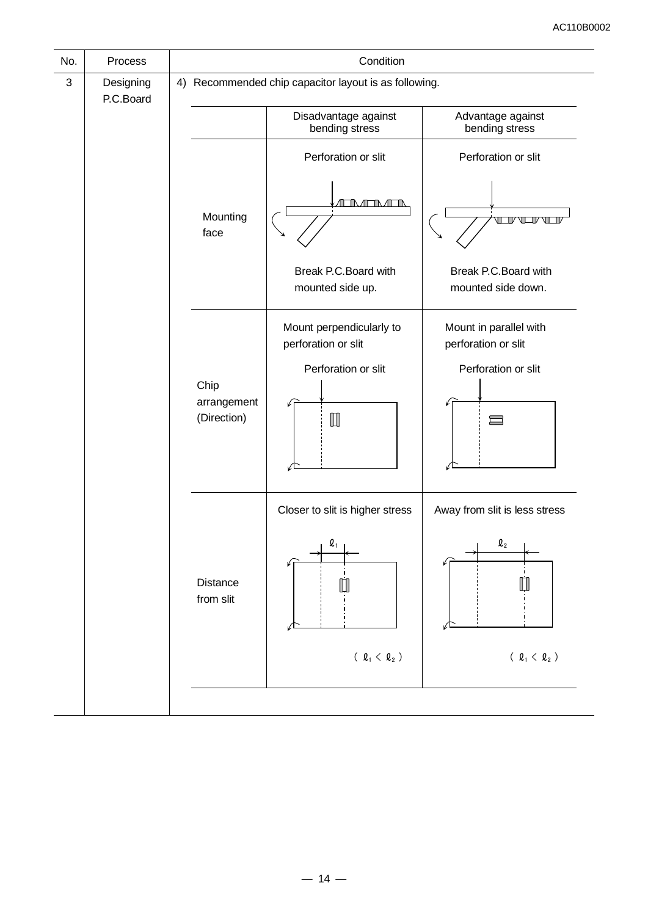| No.          | Process                |                                    | Condition                                                                                                                          |                                                                                                                                    |  |  |  |  |
|--------------|------------------------|------------------------------------|------------------------------------------------------------------------------------------------------------------------------------|------------------------------------------------------------------------------------------------------------------------------------|--|--|--|--|
| $\mathbf{3}$ | Designing<br>P.C.Board |                                    | 4) Recommended chip capacitor layout is as following.                                                                              |                                                                                                                                    |  |  |  |  |
|              |                        |                                    | Disadvantage against<br>bending stress                                                                                             | Advantage against<br>bending stress                                                                                                |  |  |  |  |
|              |                        | Mounting                           | Perforation or slit<br>℡ℿℿ                                                                                                         | Perforation or slit<br><b>JELIA JELIA JELIA U</b>                                                                                  |  |  |  |  |
|              |                        | face                               | Break P.C. Board with<br>mounted side up.                                                                                          | Break P.C. Board with<br>mounted side down.                                                                                        |  |  |  |  |
|              |                        | Chip<br>arrangement<br>(Direction) | Mount perpendicularly to<br>perforation or slit<br>Perforation or slit<br>$\blacksquare$                                           | Mount in parallel with<br>perforation or slit<br>Perforation or slit                                                               |  |  |  |  |
|              |                        | Distance<br>from slit              | Closer to slit is higher stress<br>$\mathbf{\varrho}_1$<br>( $\varrho_{\scriptscriptstyle 1}$ < $\varrho_{\scriptscriptstyle 2}$ ) | Away from slit is less stress<br>$\mathbf{\varrho}_{\,2}$<br>( $\varrho_{\scriptscriptstyle 1} < \varrho_{\scriptscriptstyle 2}$ ) |  |  |  |  |
|              |                        |                                    |                                                                                                                                    |                                                                                                                                    |  |  |  |  |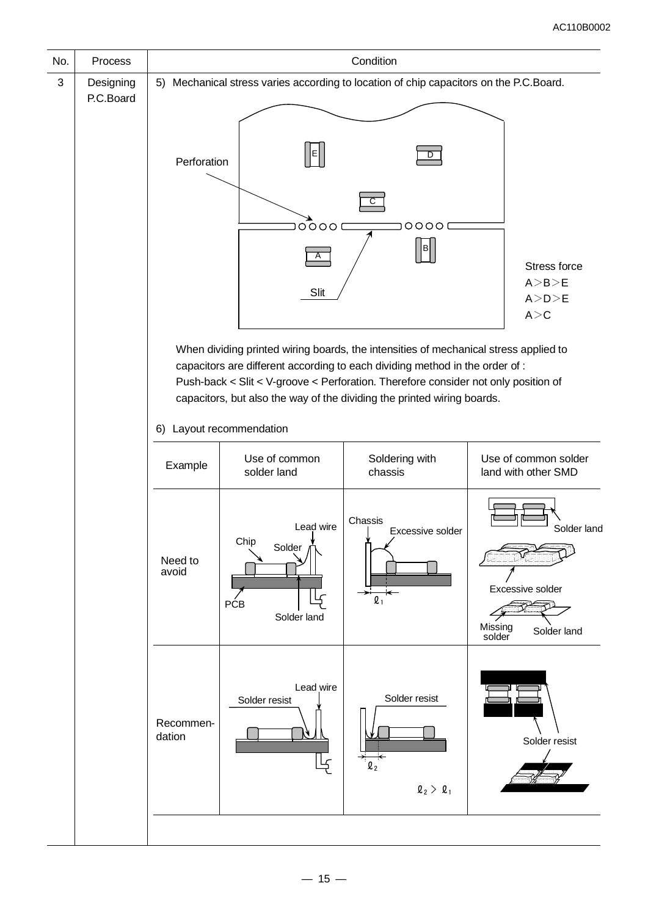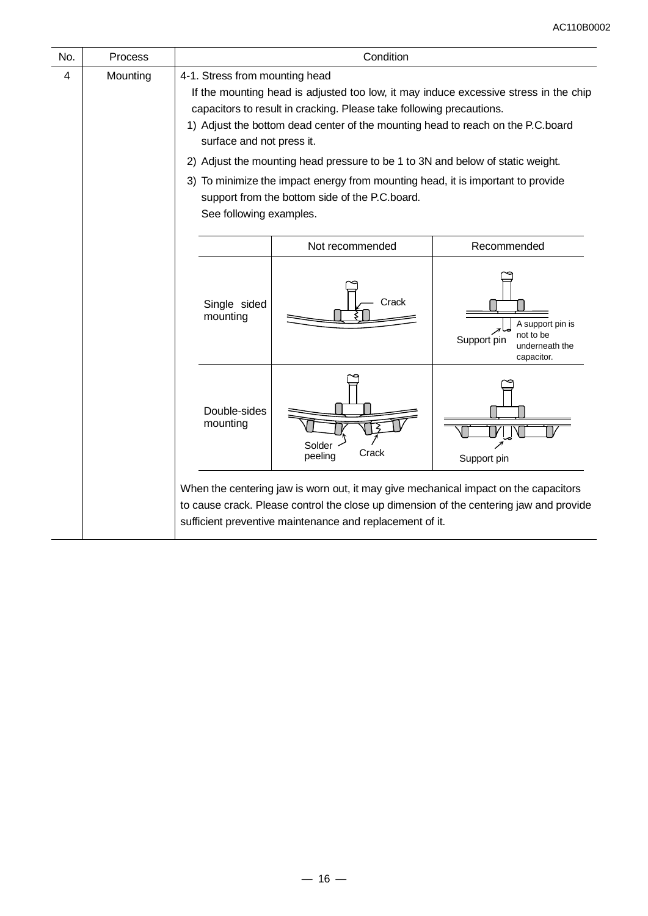| No. | Process  | Condition                                                                                                                                                                                                                                                                                                                                                                                        |                            |                                                                              |  |  |  |  |
|-----|----------|--------------------------------------------------------------------------------------------------------------------------------------------------------------------------------------------------------------------------------------------------------------------------------------------------------------------------------------------------------------------------------------------------|----------------------------|------------------------------------------------------------------------------|--|--|--|--|
| 4   | Mounting | 4-1. Stress from mounting head<br>If the mounting head is adjusted too low, it may induce excessive stress in the chip<br>capacitors to result in cracking. Please take following precautions.<br>1) Adjust the bottom dead center of the mounting head to reach on the P.C.board<br>surface and not press it.<br>2) Adjust the mounting head pressure to be 1 to 3N and below of static weight. |                            |                                                                              |  |  |  |  |
|     |          | 3) To minimize the impact energy from mounting head, it is important to provide<br>support from the bottom side of the P.C.board.<br>See following examples.                                                                                                                                                                                                                                     |                            |                                                                              |  |  |  |  |
|     |          | Not recommended<br>Recommended                                                                                                                                                                                                                                                                                                                                                                   |                            |                                                                              |  |  |  |  |
|     |          | Single sided<br>mounting                                                                                                                                                                                                                                                                                                                                                                         | Crack                      | A support pin is<br>not to be<br>Support pin<br>underneath the<br>capacitor. |  |  |  |  |
|     |          | Double-sides<br>mounting                                                                                                                                                                                                                                                                                                                                                                         | Solder<br>Crack<br>peeling | Support pin                                                                  |  |  |  |  |
|     |          | When the centering jaw is worn out, it may give mechanical impact on the capacitors<br>to cause crack. Please control the close up dimension of the centering jaw and provide<br>sufficient preventive maintenance and replacement of it.                                                                                                                                                        |                            |                                                                              |  |  |  |  |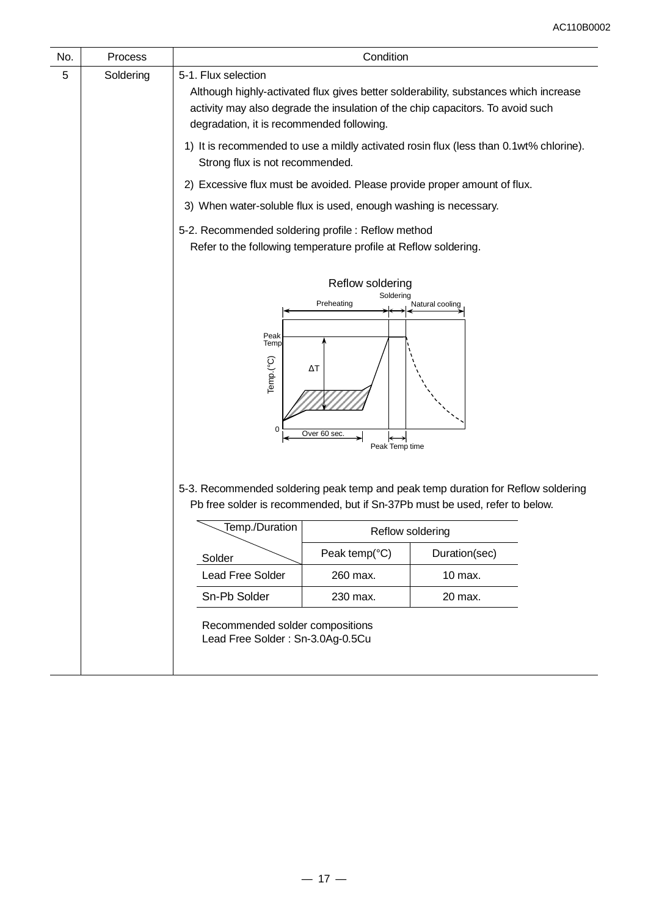| No. | Process                                                                                                               |                                                                                                                                                                                                                                            | Condition                                                                              |                                                                                                                                                                 |  |  |
|-----|-----------------------------------------------------------------------------------------------------------------------|--------------------------------------------------------------------------------------------------------------------------------------------------------------------------------------------------------------------------------------------|----------------------------------------------------------------------------------------|-----------------------------------------------------------------------------------------------------------------------------------------------------------------|--|--|
| 5   | Soldering                                                                                                             | 5-1. Flux selection<br>Although highly-activated flux gives better solderability, substances which increase<br>activity may also degrade the insulation of the chip capacitors. To avoid such<br>degradation, it is recommended following. |                                                                                        |                                                                                                                                                                 |  |  |
|     |                                                                                                                       | Strong flux is not recommended.                                                                                                                                                                                                            | 1) It is recommended to use a mildly activated rosin flux (less than 0.1wt% chlorine). |                                                                                                                                                                 |  |  |
|     |                                                                                                                       |                                                                                                                                                                                                                                            |                                                                                        | 2) Excessive flux must be avoided. Please provide proper amount of flux.                                                                                        |  |  |
|     |                                                                                                                       | 3) When water-soluble flux is used, enough washing is necessary.                                                                                                                                                                           |                                                                                        |                                                                                                                                                                 |  |  |
|     | 5-2. Recommended soldering profile : Reflow method<br>Refer to the following temperature profile at Reflow soldering. |                                                                                                                                                                                                                                            |                                                                                        |                                                                                                                                                                 |  |  |
|     |                                                                                                                       | Reflow soldering                                                                                                                                                                                                                           |                                                                                        |                                                                                                                                                                 |  |  |
|     |                                                                                                                       |                                                                                                                                                                                                                                            | Soldering<br>Preheating                                                                | Natural cooling                                                                                                                                                 |  |  |
|     |                                                                                                                       | Peak<br>Temp<br>Temp.(°C)<br>0                                                                                                                                                                                                             | ΔТ<br>Over 60 sec.<br>Peak Temp time                                                   |                                                                                                                                                                 |  |  |
|     |                                                                                                                       |                                                                                                                                                                                                                                            |                                                                                        | 5-3. Recommended soldering peak temp and peak temp duration for Reflow soldering<br>Pb free solder is recommended, but if Sn-37Pb must be used, refer to below. |  |  |
|     |                                                                                                                       | Temp./Duration                                                                                                                                                                                                                             | Reflow soldering                                                                       |                                                                                                                                                                 |  |  |
|     |                                                                                                                       | Solder                                                                                                                                                                                                                                     | Peak temp(°C)                                                                          | Duration(sec)                                                                                                                                                   |  |  |
|     |                                                                                                                       | Lead Free Solder                                                                                                                                                                                                                           | 260 max.                                                                               | 10 max.                                                                                                                                                         |  |  |
|     |                                                                                                                       | Sn-Pb Solder                                                                                                                                                                                                                               | 230 max.                                                                               | 20 max.                                                                                                                                                         |  |  |
|     |                                                                                                                       | Recommended solder compositions<br>Lead Free Solder: Sn-3.0Ag-0.5Cu                                                                                                                                                                        |                                                                                        |                                                                                                                                                                 |  |  |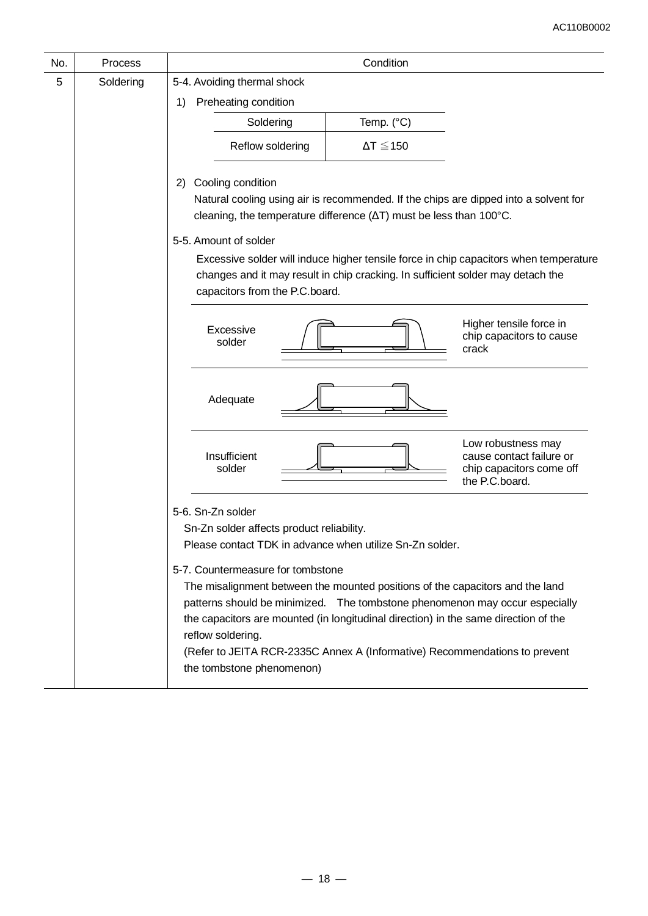| No. | Process   |                                                                                                                                                                                                                                                                                                                                                                                                                                                                                                                                                         | Condition                                                                                                                                                                |                                                                                                                                                                               |
|-----|-----------|---------------------------------------------------------------------------------------------------------------------------------------------------------------------------------------------------------------------------------------------------------------------------------------------------------------------------------------------------------------------------------------------------------------------------------------------------------------------------------------------------------------------------------------------------------|--------------------------------------------------------------------------------------------------------------------------------------------------------------------------|-------------------------------------------------------------------------------------------------------------------------------------------------------------------------------|
| 5   | Soldering | 5-4. Avoiding thermal shock                                                                                                                                                                                                                                                                                                                                                                                                                                                                                                                             |                                                                                                                                                                          |                                                                                                                                                                               |
|     |           | Preheating condition<br>1)                                                                                                                                                                                                                                                                                                                                                                                                                                                                                                                              |                                                                                                                                                                          |                                                                                                                                                                               |
|     |           | Soldering                                                                                                                                                                                                                                                                                                                                                                                                                                                                                                                                               | Temp. (°C)                                                                                                                                                               |                                                                                                                                                                               |
|     |           | Reflow soldering                                                                                                                                                                                                                                                                                                                                                                                                                                                                                                                                        | $\Delta T \leq 150$                                                                                                                                                      |                                                                                                                                                                               |
|     |           | Cooling condition<br>2)<br>5-5. Amount of solder<br>capacitors from the P.C.board.                                                                                                                                                                                                                                                                                                                                                                                                                                                                      | cleaning, the temperature difference $(\Delta T)$ must be less than 100 $^{\circ}$ C.<br>changes and it may result in chip cracking. In sufficient solder may detach the | Natural cooling using air is recommended. If the chips are dipped into a solvent for<br>Excessive solder will induce higher tensile force in chip capacitors when temperature |
|     |           | Excessive<br>solder                                                                                                                                                                                                                                                                                                                                                                                                                                                                                                                                     |                                                                                                                                                                          | Higher tensile force in<br>chip capacitors to cause<br>crack                                                                                                                  |
|     |           | Adequate                                                                                                                                                                                                                                                                                                                                                                                                                                                                                                                                                |                                                                                                                                                                          |                                                                                                                                                                               |
|     |           | Insufficient<br>solder                                                                                                                                                                                                                                                                                                                                                                                                                                                                                                                                  |                                                                                                                                                                          | Low robustness may<br>cause contact failure or<br>chip capacitors come off<br>the P.C.board.                                                                                  |
|     |           | 5-6. Sn-Zn solder<br>Sn-Zn solder affects product reliability.<br>Please contact TDK in advance when utilize Sn-Zn solder.<br>5-7. Countermeasure for tombstone<br>The misalignment between the mounted positions of the capacitors and the land<br>patterns should be minimized.  The tombstone phenomenon may occur especially<br>the capacitors are mounted (in longitudinal direction) in the same direction of the<br>reflow soldering.<br>(Refer to JEITA RCR-2335C Annex A (Informative) Recommendations to prevent<br>the tombstone phenomenon) |                                                                                                                                                                          |                                                                                                                                                                               |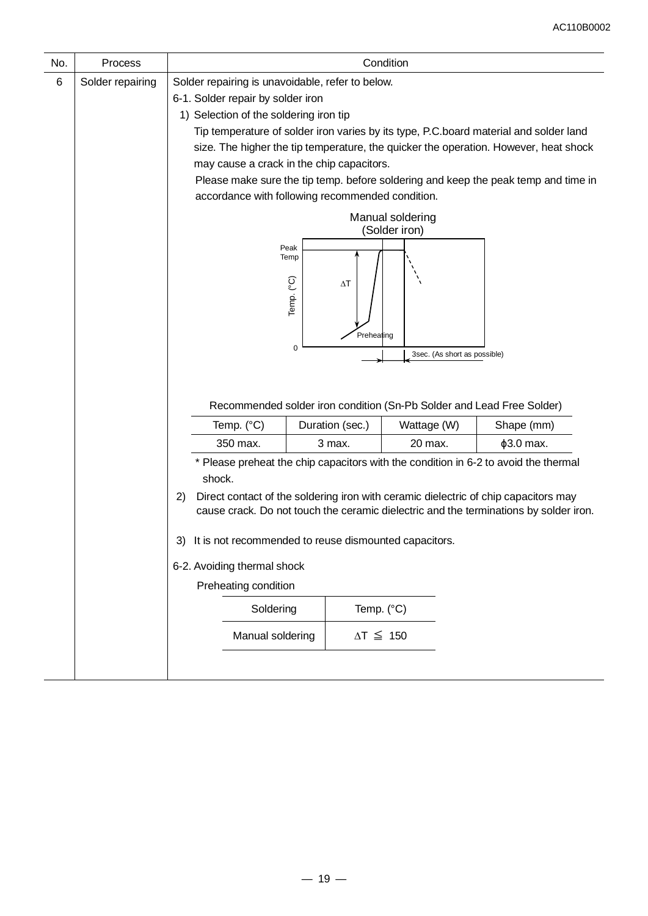| No. | Process          |                                                                                                                                        |              |                                                                       | Condition                    |                                                                                                                                                                              |  |
|-----|------------------|----------------------------------------------------------------------------------------------------------------------------------------|--------------|-----------------------------------------------------------------------|------------------------------|------------------------------------------------------------------------------------------------------------------------------------------------------------------------------|--|
| 6   | Solder repairing | Solder repairing is unavoidable, refer to below.                                                                                       |              |                                                                       |                              |                                                                                                                                                                              |  |
|     |                  | 6-1. Solder repair by solder iron                                                                                                      |              |                                                                       |                              |                                                                                                                                                                              |  |
|     |                  | 1) Selection of the soldering iron tip                                                                                                 |              |                                                                       |                              |                                                                                                                                                                              |  |
|     |                  |                                                                                                                                        |              |                                                                       |                              | Tip temperature of solder iron varies by its type, P.C.board material and solder land                                                                                        |  |
|     |                  |                                                                                                                                        |              |                                                                       |                              | size. The higher the tip temperature, the quicker the operation. However, heat shock                                                                                         |  |
|     |                  | may cause a crack in the chip capacitors.                                                                                              |              |                                                                       |                              |                                                                                                                                                                              |  |
|     |                  | Please make sure the tip temp. before soldering and keep the peak temp and time in<br>accordance with following recommended condition. |              |                                                                       |                              |                                                                                                                                                                              |  |
|     |                  |                                                                                                                                        |              |                                                                       |                              |                                                                                                                                                                              |  |
|     |                  |                                                                                                                                        |              |                                                                       | Manual soldering             |                                                                                                                                                                              |  |
|     |                  |                                                                                                                                        |              |                                                                       | (Solder iron)                |                                                                                                                                                                              |  |
|     |                  |                                                                                                                                        | Peak<br>Temp | $\Delta\mathsf{T}$                                                    |                              |                                                                                                                                                                              |  |
|     |                  |                                                                                                                                        | Temp. (°C)   |                                                                       |                              |                                                                                                                                                                              |  |
|     |                  |                                                                                                                                        |              | Preheating                                                            |                              |                                                                                                                                                                              |  |
|     |                  |                                                                                                                                        | $\mathbf 0$  |                                                                       | 3sec. (As short as possible) |                                                                                                                                                                              |  |
|     |                  |                                                                                                                                        |              |                                                                       |                              |                                                                                                                                                                              |  |
|     |                  |                                                                                                                                        |              |                                                                       |                              |                                                                                                                                                                              |  |
|     |                  |                                                                                                                                        |              | Recommended solder iron condition (Sn-Pb Solder and Lead Free Solder) |                              |                                                                                                                                                                              |  |
|     |                  | Temp. (°C)                                                                                                                             |              | Duration (sec.)                                                       | Wattage (W)                  | Shape (mm)                                                                                                                                                                   |  |
|     |                  | 350 max.                                                                                                                               |              | 3 max.                                                                | 20 max.                      | $\phi$ 3.0 max.                                                                                                                                                              |  |
|     |                  | shock.                                                                                                                                 |              |                                                                       |                              | * Please preheat the chip capacitors with the condition in 6-2 to avoid the thermal                                                                                          |  |
|     |                  | 2)                                                                                                                                     |              |                                                                       |                              | Direct contact of the soldering iron with ceramic dielectric of chip capacitors may<br>cause crack. Do not touch the ceramic dielectric and the terminations by solder iron. |  |
|     |                  | It is not recommended to reuse dismounted capacitors.<br>3)                                                                            |              |                                                                       |                              |                                                                                                                                                                              |  |
|     |                  | 6-2. Avoiding thermal shock                                                                                                            |              |                                                                       |                              |                                                                                                                                                                              |  |
|     |                  | Preheating condition                                                                                                                   |              |                                                                       |                              |                                                                                                                                                                              |  |
|     |                  | Soldering                                                                                                                              |              | Temp. (°C)                                                            |                              |                                                                                                                                                                              |  |
|     |                  | Manual soldering                                                                                                                       |              | $\Delta T \leq 150$                                                   |                              |                                                                                                                                                                              |  |
|     |                  |                                                                                                                                        |              |                                                                       |                              |                                                                                                                                                                              |  |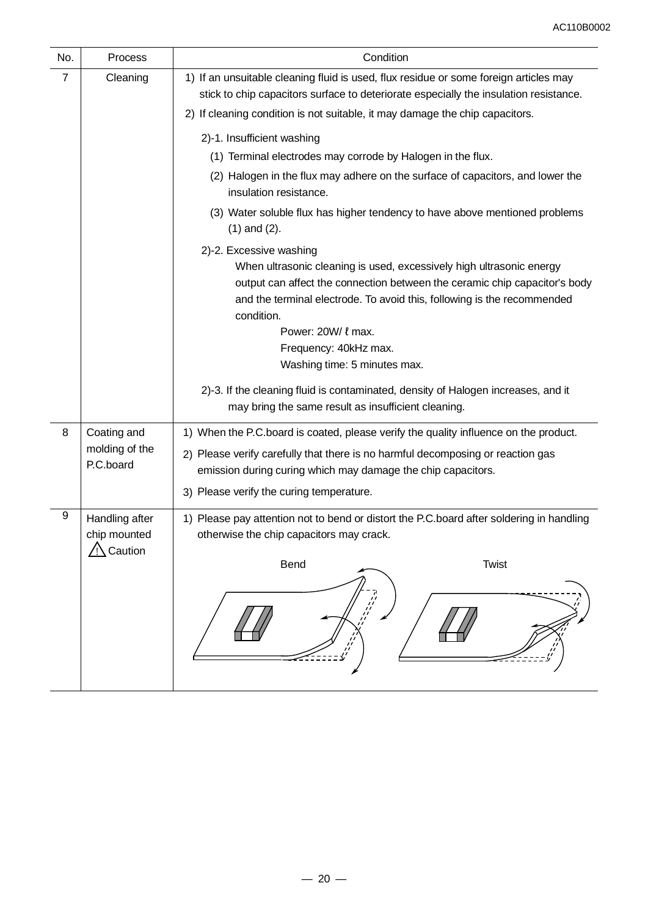| No. | Process                                    | Condition                                                                                                                                                                                                                                                                                                                                                   |  |  |  |  |  |
|-----|--------------------------------------------|-------------------------------------------------------------------------------------------------------------------------------------------------------------------------------------------------------------------------------------------------------------------------------------------------------------------------------------------------------------|--|--|--|--|--|
| 7   | Cleaning                                   | 1) If an unsuitable cleaning fluid is used, flux residue or some foreign articles may<br>stick to chip capacitors surface to deteriorate especially the insulation resistance.<br>2) If cleaning condition is not suitable, it may damage the chip capacitors.<br>2)-1. Insufficient washing<br>(1) Terminal electrodes may corrode by Halogen in the flux. |  |  |  |  |  |
|     |                                            | (2) Halogen in the flux may adhere on the surface of capacitors, and lower the<br>insulation resistance.<br>(3) Water soluble flux has higher tendency to have above mentioned problems<br>$(1)$ and $(2)$ .                                                                                                                                                |  |  |  |  |  |
|     |                                            | 2)-2. Excessive washing<br>When ultrasonic cleaning is used, excessively high ultrasonic energy<br>output can affect the connection between the ceramic chip capacitor's body<br>and the terminal electrode. To avoid this, following is the recommended<br>condition.<br>Power: 20W/ $\ell$ max.<br>Frequency: 40kHz max.<br>Washing time: 5 minutes max.  |  |  |  |  |  |
|     |                                            | 2)-3. If the cleaning fluid is contaminated, density of Halogen increases, and it<br>may bring the same result as insufficient cleaning.                                                                                                                                                                                                                    |  |  |  |  |  |
| 8   | Coating and<br>molding of the<br>P.C.board | 1) When the P.C.board is coated, please verify the quality influence on the product.<br>2) Please verify carefully that there is no harmful decomposing or reaction gas<br>emission during curing which may damage the chip capacitors.<br>3) Please verify the curing temperature.                                                                         |  |  |  |  |  |
| 9   | Handling after<br>chip mounted<br>Caution  | 1) Please pay attention not to bend or distort the P.C.board after soldering in handling<br>otherwise the chip capacitors may crack.<br>Twist<br>Bend                                                                                                                                                                                                       |  |  |  |  |  |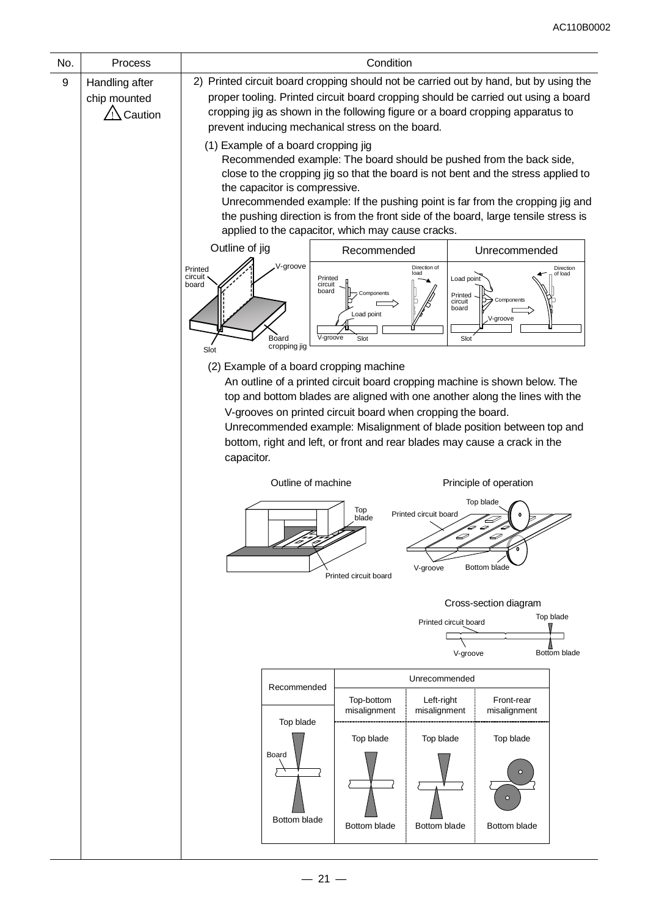| No. | Process                        | Condition                                                                                                                                                                                                                                                                                                                                                                                                                               |  |  |  |  |  |  |
|-----|--------------------------------|-----------------------------------------------------------------------------------------------------------------------------------------------------------------------------------------------------------------------------------------------------------------------------------------------------------------------------------------------------------------------------------------------------------------------------------------|--|--|--|--|--|--|
| 9   | Handling after<br>chip mounted | 2) Printed circuit board cropping should not be carried out by hand, but by using the<br>proper tooling. Printed circuit board cropping should be carried out using a board                                                                                                                                                                                                                                                             |  |  |  |  |  |  |
|     | Caution                        | cropping jig as shown in the following figure or a board cropping apparatus to<br>prevent inducing mechanical stress on the board.                                                                                                                                                                                                                                                                                                      |  |  |  |  |  |  |
|     |                                | (1) Example of a board cropping jig<br>Recommended example: The board should be pushed from the back side,<br>close to the cropping jig so that the board is not bent and the stress applied to<br>the capacitor is compressive.<br>Unrecommended example: If the pushing point is far from the cropping jig and<br>the pushing direction is from the front side of the board, large tensile stress is                                  |  |  |  |  |  |  |
|     |                                | applied to the capacitor, which may cause cracks.<br>Outline of jig<br>Recommended<br>Unrecommended                                                                                                                                                                                                                                                                                                                                     |  |  |  |  |  |  |
|     |                                | V-groove<br>Direction of<br>Printed<br>Direction<br>of load<br>circuit<br>Printed<br>Load point<br>board<br>circuit<br>board<br>Components<br>Printed<br>Components<br>circuit<br>board<br>Load point<br>V-groove<br>V-groove<br>Slot<br>Slot<br>Board<br>cropping jig<br>Slot                                                                                                                                                          |  |  |  |  |  |  |
|     |                                | (2) Example of a board cropping machine<br>An outline of a printed circuit board cropping machine is shown below. The<br>top and bottom blades are aligned with one another along the lines with the<br>V-grooves on printed circuit board when cropping the board.<br>Unrecommended example: Misalignment of blade position between top and<br>bottom, right and left, or front and rear blades may cause a crack in the<br>capacitor. |  |  |  |  |  |  |
|     |                                | Outline of machine<br>Principle of operation<br>Top blade<br>Top<br>Printed circuit board<br>blade                                                                                                                                                                                                                                                                                                                                      |  |  |  |  |  |  |
|     |                                | Þ<br>$\mathbb{Z}$                                                                                                                                                                                                                                                                                                                                                                                                                       |  |  |  |  |  |  |
|     |                                | V-groove<br>Bottom blade<br>Printed circuit board                                                                                                                                                                                                                                                                                                                                                                                       |  |  |  |  |  |  |
|     |                                | Cross-section diagram<br>Top blade<br>Printed circuit board<br>V-groove<br>Bottom blade                                                                                                                                                                                                                                                                                                                                                 |  |  |  |  |  |  |
|     |                                | Unrecommended<br>Recommended                                                                                                                                                                                                                                                                                                                                                                                                            |  |  |  |  |  |  |
|     |                                | Top-bottom<br>Left-right<br>Front-rear<br>misalignment<br>misalignment<br>misalignment<br>Top blade                                                                                                                                                                                                                                                                                                                                     |  |  |  |  |  |  |
|     |                                | Top blade<br>Top blade<br>Top blade<br>Board<br>$\circ$<br>Bottom blade<br>Bottom blade<br>Bottom blade<br>Bottom blade                                                                                                                                                                                                                                                                                                                 |  |  |  |  |  |  |
|     |                                |                                                                                                                                                                                                                                                                                                                                                                                                                                         |  |  |  |  |  |  |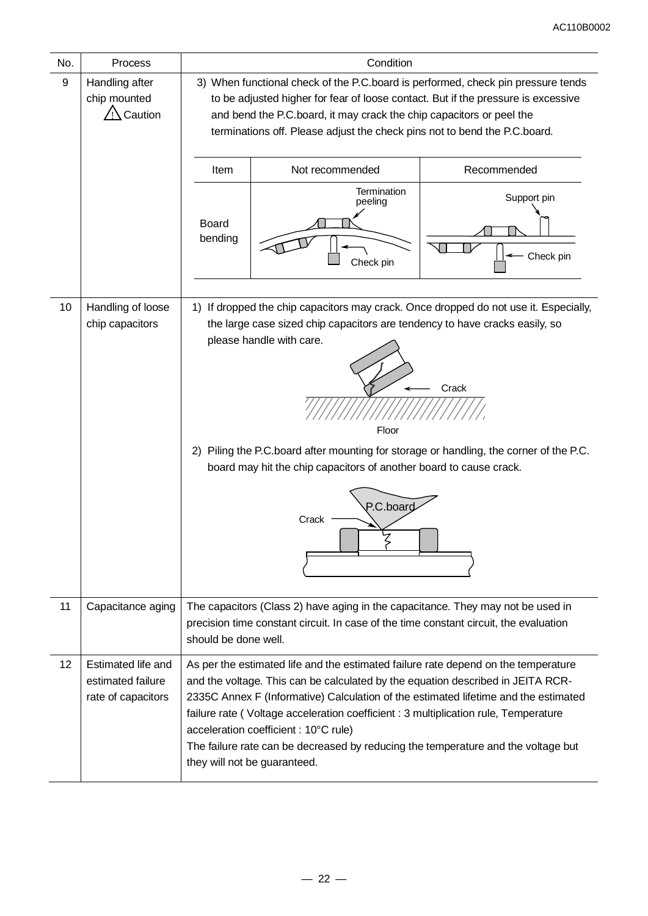| No. | Process                                                       | Condition                                                                                                                                                                                                                                                                                                                                                                                                                                                                                                         |                                     |                          |  |  |  |  |
|-----|---------------------------------------------------------------|-------------------------------------------------------------------------------------------------------------------------------------------------------------------------------------------------------------------------------------------------------------------------------------------------------------------------------------------------------------------------------------------------------------------------------------------------------------------------------------------------------------------|-------------------------------------|--------------------------|--|--|--|--|
| 9   | Handling after<br>chip mounted<br>Caution                     | 3) When functional check of the P.C.board is performed, check pin pressure tends<br>to be adjusted higher for fear of loose contact. But if the pressure is excessive<br>and bend the P.C. board, it may crack the chip capacitors or peel the<br>terminations off. Please adjust the check pins not to bend the P.C.board.                                                                                                                                                                                       |                                     |                          |  |  |  |  |
|     |                                                               | Item                                                                                                                                                                                                                                                                                                                                                                                                                                                                                                              | Not recommended<br>Recommended      |                          |  |  |  |  |
|     |                                                               | <b>Board</b><br>bending                                                                                                                                                                                                                                                                                                                                                                                                                                                                                           | Termination<br>peeling<br>Check pin | Support pin<br>Check pin |  |  |  |  |
| 10  | Handling of loose<br>chip capacitors                          | 1) If dropped the chip capacitors may crack. Once dropped do not use it. Especially,<br>the large case sized chip capacitors are tendency to have cracks easily, so<br>please handle with care.<br>Crack<br>Floor<br>2) Piling the P.C.board after mounting for storage or handling, the corner of the P.C.<br>board may hit the chip capacitors of another board to cause crack.<br>P.C.board<br>Crack                                                                                                           |                                     |                          |  |  |  |  |
| 11  | Capacitance aging                                             | The capacitors (Class 2) have aging in the capacitance. They may not be used in<br>precision time constant circuit. In case of the time constant circuit, the evaluation<br>should be done well.                                                                                                                                                                                                                                                                                                                  |                                     |                          |  |  |  |  |
| 12  | Estimated life and<br>estimated failure<br>rate of capacitors | As per the estimated life and the estimated failure rate depend on the temperature<br>and the voltage. This can be calculated by the equation described in JEITA RCR-<br>2335C Annex F (Informative) Calculation of the estimated lifetime and the estimated<br>failure rate (Voltage acceleration coefficient : 3 multiplication rule, Temperature<br>acceleration coefficient : 10°C rule)<br>The failure rate can be decreased by reducing the temperature and the voltage but<br>they will not be guaranteed. |                                     |                          |  |  |  |  |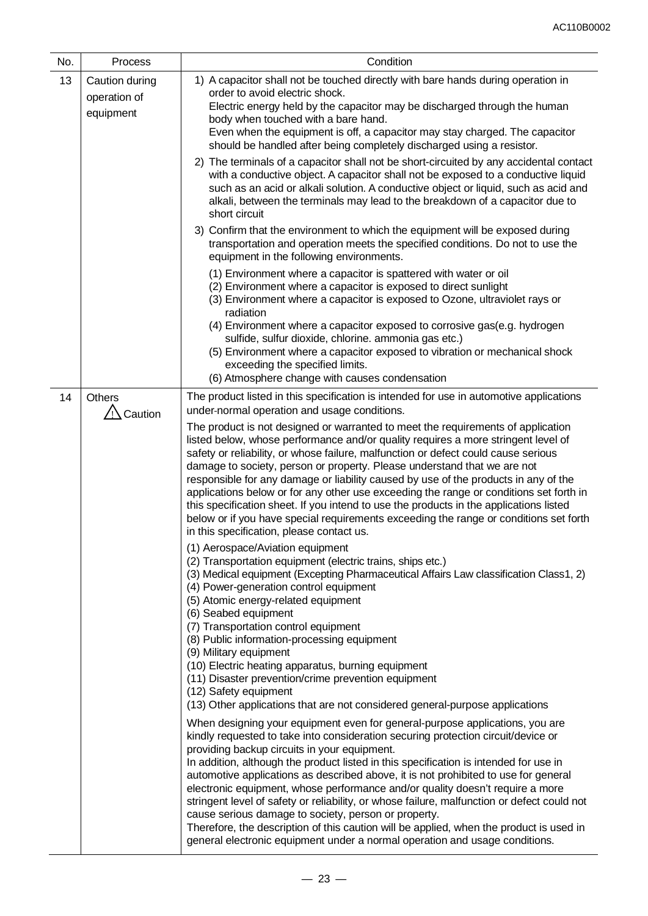| No. | Process                                     | Condition                                                                                                                                                                                                                                                                                                                                                                                                                                                                                                                                                                                                                                                                                                                                                                                                           |  |  |
|-----|---------------------------------------------|---------------------------------------------------------------------------------------------------------------------------------------------------------------------------------------------------------------------------------------------------------------------------------------------------------------------------------------------------------------------------------------------------------------------------------------------------------------------------------------------------------------------------------------------------------------------------------------------------------------------------------------------------------------------------------------------------------------------------------------------------------------------------------------------------------------------|--|--|
| 13  | Caution during<br>operation of<br>equipment | 1) A capacitor shall not be touched directly with bare hands during operation in<br>order to avoid electric shock.<br>Electric energy held by the capacitor may be discharged through the human<br>body when touched with a bare hand.<br>Even when the equipment is off, a capacitor may stay charged. The capacitor<br>should be handled after being completely discharged using a resistor.                                                                                                                                                                                                                                                                                                                                                                                                                      |  |  |
|     |                                             | 2) The terminals of a capacitor shall not be short-circuited by any accidental contact<br>with a conductive object. A capacitor shall not be exposed to a conductive liquid<br>such as an acid or alkali solution. A conductive object or liquid, such as acid and<br>alkali, between the terminals may lead to the breakdown of a capacitor due to<br>short circuit<br>3) Confirm that the environment to which the equipment will be exposed during                                                                                                                                                                                                                                                                                                                                                               |  |  |
|     |                                             | transportation and operation meets the specified conditions. Do not to use the<br>equipment in the following environments.                                                                                                                                                                                                                                                                                                                                                                                                                                                                                                                                                                                                                                                                                          |  |  |
|     |                                             | (1) Environment where a capacitor is spattered with water or oil<br>(2) Environment where a capacitor is exposed to direct sunlight<br>(3) Environment where a capacitor is exposed to Ozone, ultraviolet rays or<br>radiation<br>(4) Environment where a capacitor exposed to corrosive gas(e.g. hydrogen                                                                                                                                                                                                                                                                                                                                                                                                                                                                                                          |  |  |
|     |                                             | sulfide, sulfur dioxide, chlorine. ammonia gas etc.)<br>(5) Environment where a capacitor exposed to vibration or mechanical shock<br>exceeding the specified limits.<br>(6) Atmosphere change with causes condensation                                                                                                                                                                                                                                                                                                                                                                                                                                                                                                                                                                                             |  |  |
| 14  | <b>Others</b><br>Caution                    | The product listed in this specification is intended for use in automotive applications<br>under-normal operation and usage conditions.                                                                                                                                                                                                                                                                                                                                                                                                                                                                                                                                                                                                                                                                             |  |  |
|     |                                             | The product is not designed or warranted to meet the requirements of application<br>listed below, whose performance and/or quality requires a more stringent level of<br>safety or reliability, or whose failure, malfunction or defect could cause serious<br>damage to society, person or property. Please understand that we are not<br>responsible for any damage or liability caused by use of the products in any of the<br>applications below or for any other use exceeding the range or conditions set forth in<br>this specification sheet. If you intend to use the products in the applications listed<br>below or if you have special requirements exceeding the range or conditions set forth<br>in this specification, please contact us.                                                            |  |  |
|     |                                             | (1) Aerospace/Aviation equipment<br>(2) Transportation equipment (electric trains, ships etc.)<br>(3) Medical equipment (Excepting Pharmaceutical Affairs Law classification Class1, 2)<br>(4) Power-generation control equipment<br>(5) Atomic energy-related equipment<br>(6) Seabed equipment<br>(7) Transportation control equipment<br>(8) Public information-processing equipment<br>(9) Military equipment<br>(10) Electric heating apparatus, burning equipment<br>(11) Disaster prevention/crime prevention equipment<br>(12) Safety equipment<br>(13) Other applications that are not considered general-purpose applications                                                                                                                                                                             |  |  |
|     |                                             | When designing your equipment even for general-purpose applications, you are<br>kindly requested to take into consideration securing protection circuit/device or<br>providing backup circuits in your equipment.<br>In addition, although the product listed in this specification is intended for use in<br>automotive applications as described above, it is not prohibited to use for general<br>electronic equipment, whose performance and/or quality doesn't require a more<br>stringent level of safety or reliability, or whose failure, malfunction or defect could not<br>cause serious damage to society, person or property.<br>Therefore, the description of this caution will be applied, when the product is used in<br>general electronic equipment under a normal operation and usage conditions. |  |  |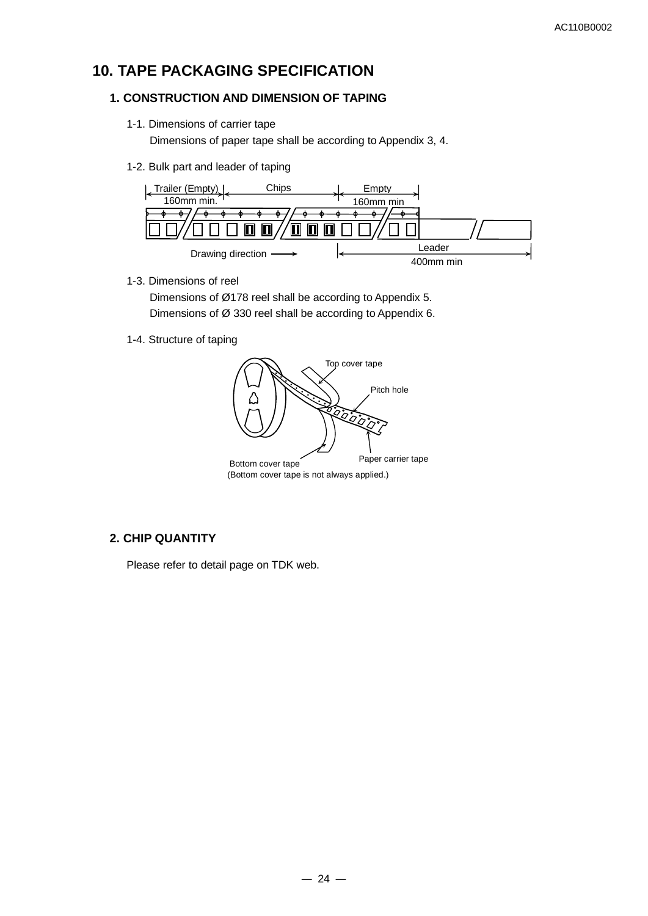# **10. TAPE PACKAGING SPECIFICATION**

#### **1. CONSTRUCTION AND DIMENSION OF TAPING**

1-1. Dimensions of carrier tape

Dimensions of paper tape shall be according to Appendix 3, 4.

1-2. Bulk part and leader of taping



1-3. Dimensions of reel

Dimensions of Ø178 reel shall be according to Appendix 5. Dimensions of Ø 330 reel shall be according to Appendix 6.

1-4. Structure of taping



(Bottom cover tape is not always applied.)

#### **2. CHIP QUANTITY**

Please refer to detail page on TDK web.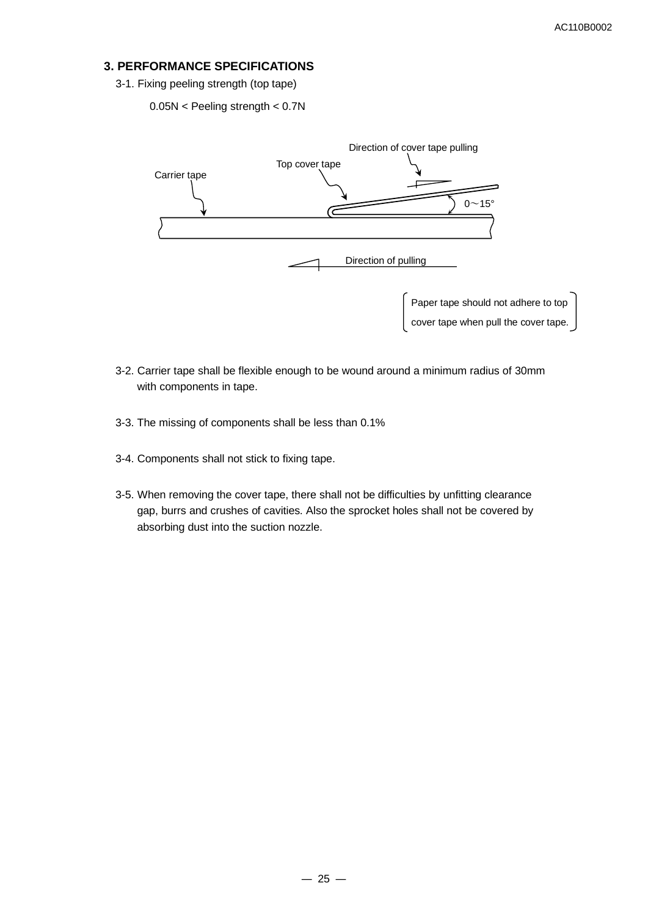#### **3. PERFORMANCE SPECIFICATIONS**

3-1. Fixing peeling strength (top tape)

0.05N < Peeling strength < 0.7N



- 3-2. Carrier tape shall be flexible enough to be wound around a minimum radius of 30mm with components in tape.
- 3-3. The missing of components shall be less than 0.1%
- 3-4. Components shall not stick to fixing tape.
- 3-5. When removing the cover tape, there shall not be difficulties by unfitting clearance gap, burrs and crushes of cavities. Also the sprocket holes shall not be covered by absorbing dust into the suction nozzle.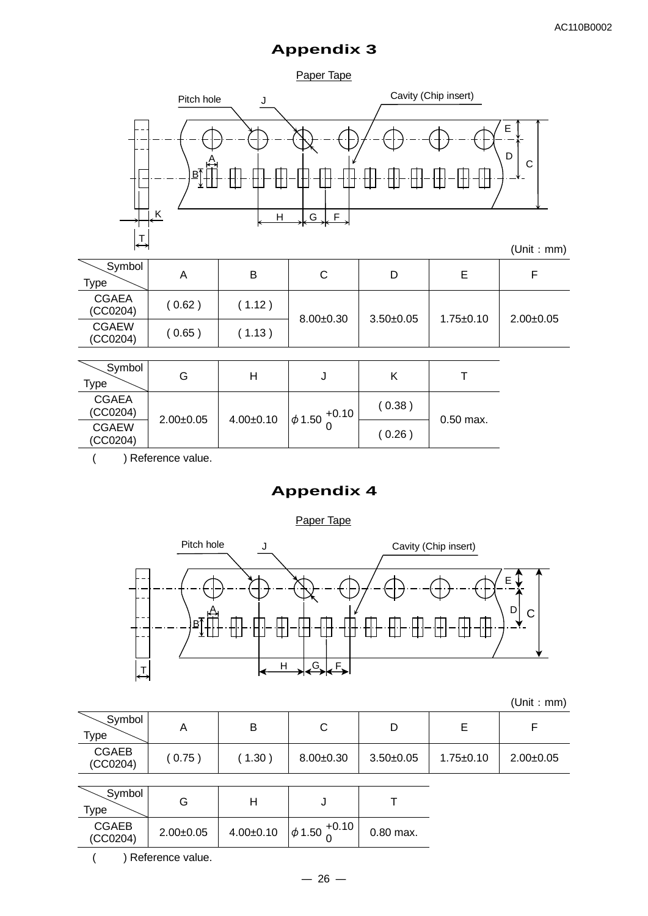# **Appendix 3**

Paper Tape



| Symbol<br><b>Type</b>    | Α      | B      | С               | D           |                 |             |
|--------------------------|--------|--------|-----------------|-------------|-----------------|-------------|
| <b>CGAEA</b><br>(CC0204) | (0.62) | (1.12) | $8.00 \pm 0.30$ | $3.50+0.05$ | $1.75 \pm 0.10$ | $2.00+0.05$ |
| <b>CGAEW</b><br>(CC0204) | (0.65) | 1.13   |                 |             |                 |             |

| Symbol<br>Type           | G               |                 | u                          | Κ      |             |  |
|--------------------------|-----------------|-----------------|----------------------------|--------|-------------|--|
| <b>CGAEA</b><br>(CC0204) | $2.00 \pm 0.05$ | $4.00 \pm 0.10$ | $\phi$ 1.50 $^{+0.10}_{0}$ | (0.38) |             |  |
| <b>CGAEW</b><br>(CC0204) |                 |                 |                            | (0.26) | $0.50$ max. |  |

( ) Reference value.

# **Appendix 4**

Paper Tape



(Unit:mm)

| Symbol<br>Type           |        | В    |                 |             |                 |             |
|--------------------------|--------|------|-----------------|-------------|-----------------|-------------|
| <b>CGAEB</b><br>(CC0204) | (0.75) | 1.30 | $8.00 \pm 0.30$ | $3.50+0.05$ | $1.75 \pm 0.10$ | $2.00+0.05$ |

| Symbol<br>$\tau_{\text{ype}}$ |             |                 |                                                                |           |
|-------------------------------|-------------|-----------------|----------------------------------------------------------------|-----------|
| <b>CGAEB</b><br>(CC0204)      | $2.00+0.05$ | $4.00 \pm 0.10$ | $\cdot \circ$   $\phi$ 1.50 $\stackrel{+0.10}{\circ}$   $\sim$ | 0.80 max. |

( ) Reference value.